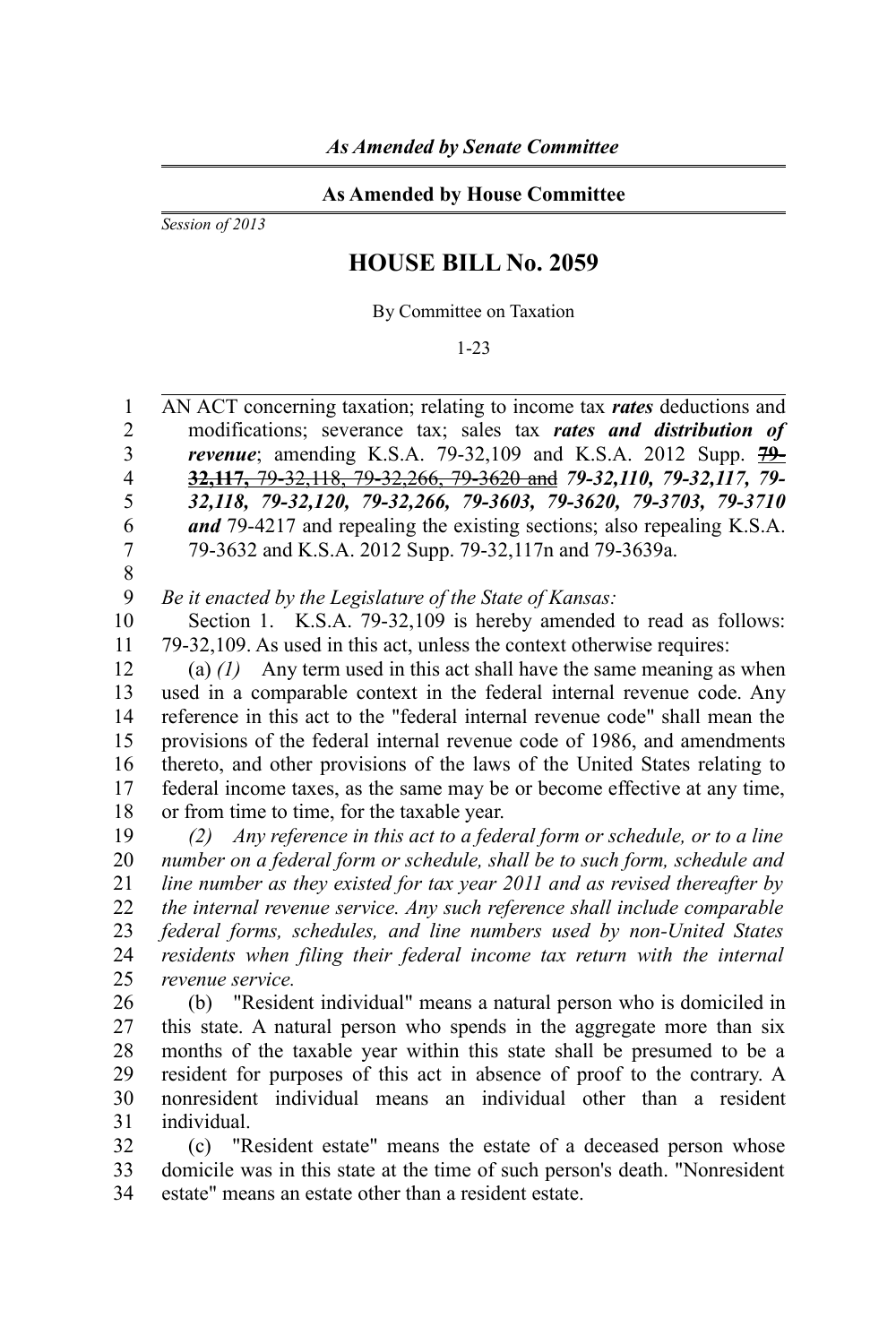## **As Amended by House Committee**

*Session of 2013*

## **HOUSE BILL No. 2059**

By Committee on Taxation

1-23

AN ACT concerning taxation; relating to income tax *rates* deductions and modifications; severance tax; sales tax *rates and distribution of revenue*; amending K.S.A. 79-32,109 and K.S.A. 2012 Supp. **79- 32,117,** 79-32,118, 79-32,266, 79-3620 and *79-32,110, 79-32,117, 79- 32,118, 79-32,120, 79-32,266, 79-3603, 79-3620, 79-3703, 79-3710 and* 79-4217 and repealing the existing sections; also repealing K.S.A. 79-3632 and K.S.A. 2012 Supp. 79-32,117n and 79-3639a. 1 2 3 4 5 6 7

8

*Be it enacted by the Legislature of the State of Kansas:* 9

Section 1. K.S.A. 79-32,109 is hereby amended to read as follows: 79-32,109. As used in this act, unless the context otherwise requires: 10 11

(a) *(1)* Any term used in this act shall have the same meaning as when used in a comparable context in the federal internal revenue code. Any reference in this act to the "federal internal revenue code" shall mean the provisions of the federal internal revenue code of 1986, and amendments thereto, and other provisions of the laws of the United States relating to federal income taxes, as the same may be or become effective at any time, or from time to time, for the taxable year. 12 13 14 15 16 17 18

*(2) Any reference in this act to a federal form or schedule, or to a line number on a federal form or schedule, shall be to such form, schedule and line number as they existed for tax year 2011 and as revised thereafter by the internal revenue service. Any such reference shall include comparable federal forms, schedules, and line numbers used by non-United States residents when filing their federal income tax return with the internal revenue service.*  19 20 21 22 23 24 25

(b) "Resident individual" means a natural person who is domiciled in this state. A natural person who spends in the aggregate more than six months of the taxable year within this state shall be presumed to be a resident for purposes of this act in absence of proof to the contrary. A nonresident individual means an individual other than a resident individual. 26 27 28 29 30 31

(c) "Resident estate" means the estate of a deceased person whose domicile was in this state at the time of such person's death. "Nonresident estate" means an estate other than a resident estate. 32 33 34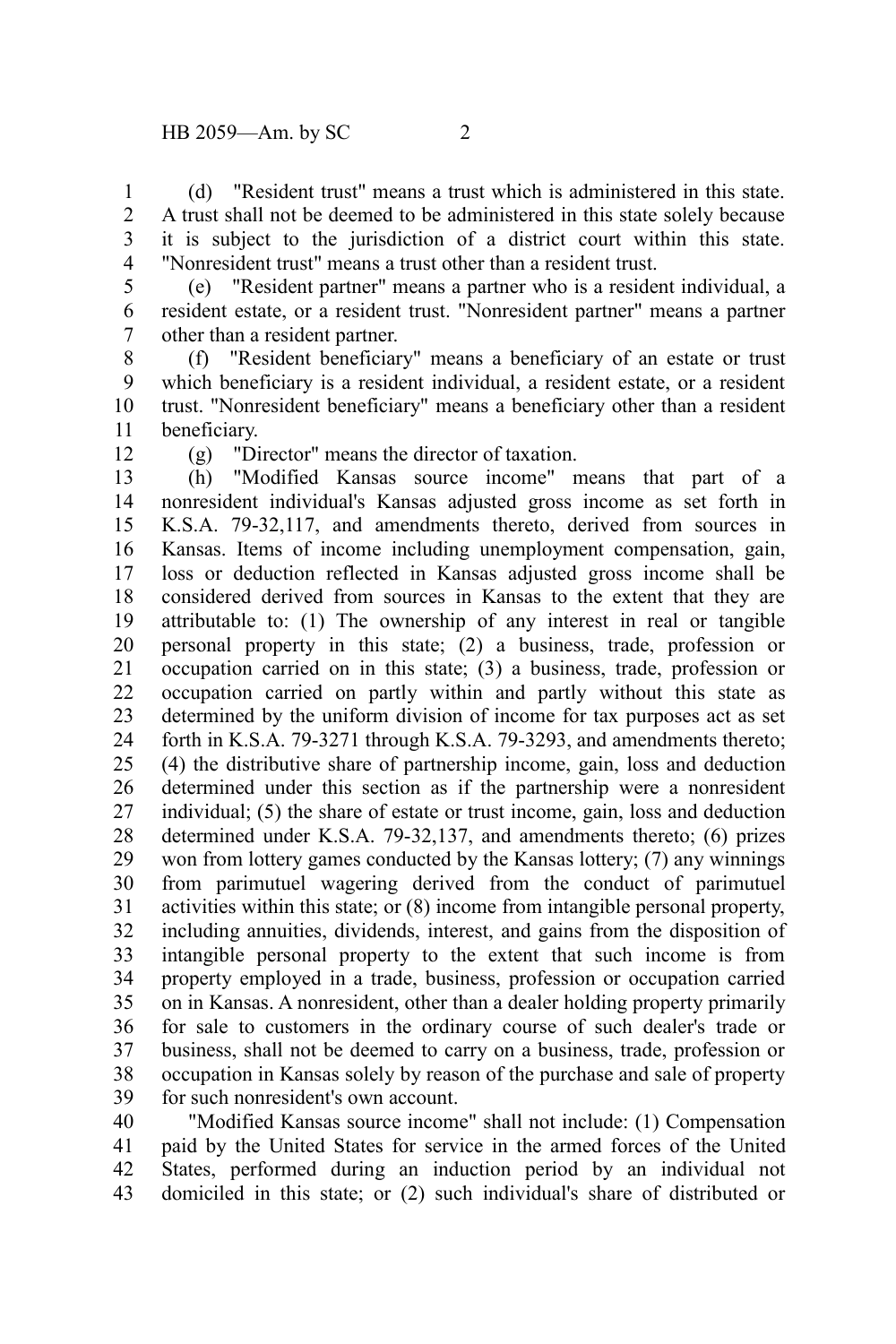(d) "Resident trust" means a trust which is administered in this state. A trust shall not be deemed to be administered in this state solely because it is subject to the jurisdiction of a district court within this state. "Nonresident trust" means a trust other than a resident trust. 1  $\mathcal{L}$ 3 4

5

(e) "Resident partner" means a partner who is a resident individual, a resident estate, or a resident trust. "Nonresident partner" means a partner other than a resident partner. 6 7

(f) "Resident beneficiary" means a beneficiary of an estate or trust which beneficiary is a resident individual, a resident estate, or a resident trust. "Nonresident beneficiary" means a beneficiary other than a resident beneficiary. 8 9 10 11

12

(g) "Director" means the director of taxation.

(h) "Modified Kansas source income" means that part of a nonresident individual's Kansas adjusted gross income as set forth in K.S.A. 79-32,117, and amendments thereto, derived from sources in Kansas. Items of income including unemployment compensation, gain, loss or deduction reflected in Kansas adjusted gross income shall be considered derived from sources in Kansas to the extent that they are attributable to: (1) The ownership of any interest in real or tangible personal property in this state; (2) a business, trade, profession or occupation carried on in this state; (3) a business, trade, profession or occupation carried on partly within and partly without this state as determined by the uniform division of income for tax purposes act as set forth in K.S.A. 79-3271 through K.S.A. 79-3293, and amendments thereto; (4) the distributive share of partnership income, gain, loss and deduction determined under this section as if the partnership were a nonresident individual; (5) the share of estate or trust income, gain, loss and deduction determined under K.S.A. 79-32,137, and amendments thereto; (6) prizes won from lottery games conducted by the Kansas lottery; (7) any winnings from parimutuel wagering derived from the conduct of parimutuel activities within this state; or (8) income from intangible personal property, including annuities, dividends, interest, and gains from the disposition of intangible personal property to the extent that such income is from property employed in a trade, business, profession or occupation carried on in Kansas. A nonresident, other than a dealer holding property primarily for sale to customers in the ordinary course of such dealer's trade or business, shall not be deemed to carry on a business, trade, profession or occupation in Kansas solely by reason of the purchase and sale of property for such nonresident's own account. 13 14 15 16 17 18 19 20 21 22 23 24 25 26 27 28 29 30 31 32 33 34 35 36 37 38 39

"Modified Kansas source income" shall not include: (1) Compensation paid by the United States for service in the armed forces of the United States, performed during an induction period by an individual not domiciled in this state; or (2) such individual's share of distributed or 40 41 42 43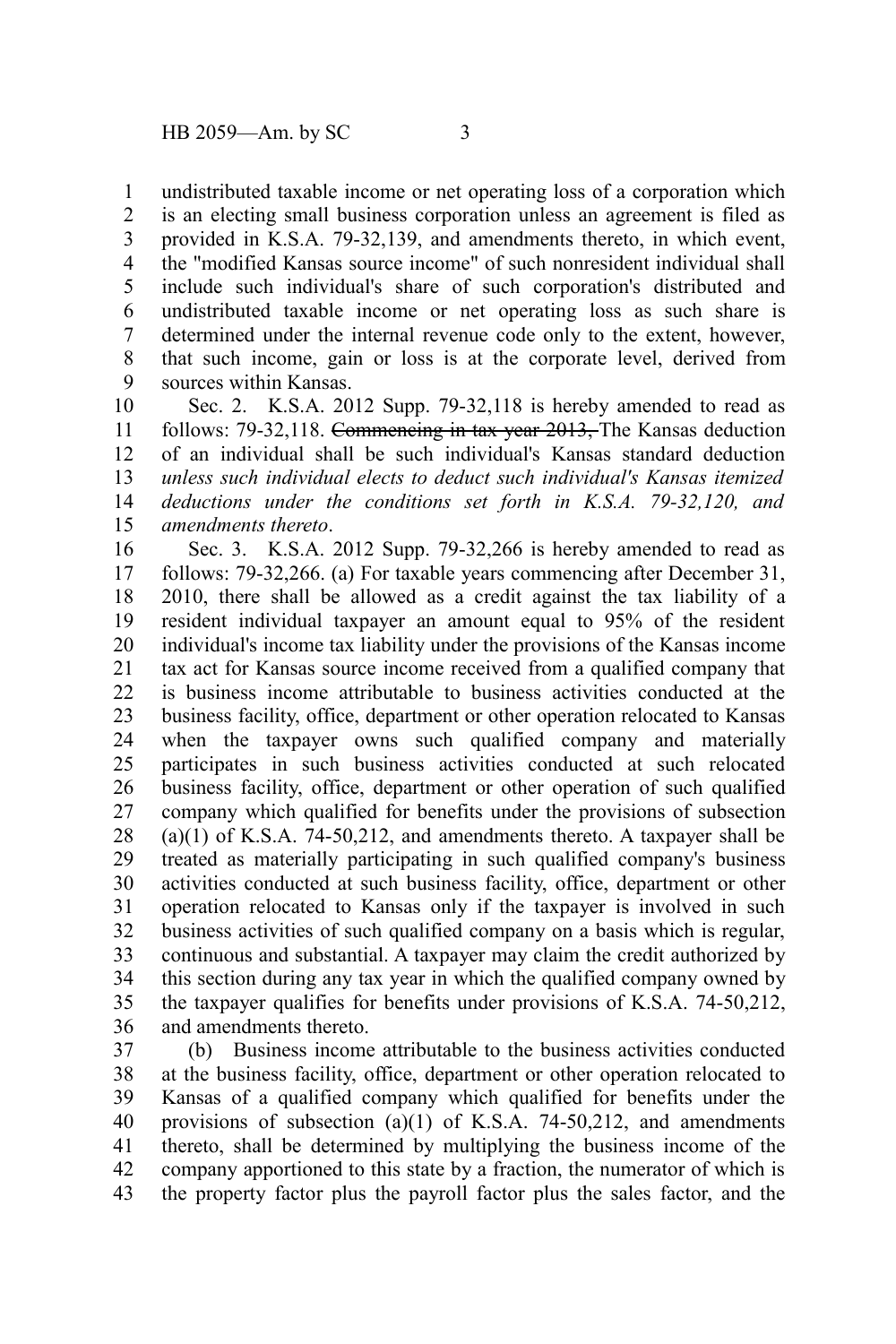undistributed taxable income or net operating loss of a corporation which 1

is an electing small business corporation unless an agreement is filed as provided in K.S.A. 79-32,139, and amendments thereto, in which event, the "modified Kansas source income" of such nonresident individual shall include such individual's share of such corporation's distributed and undistributed taxable income or net operating loss as such share is determined under the internal revenue code only to the extent, however, that such income, gain or loss is at the corporate level, derived from sources within Kansas. 2 3 4 5 6 7 8 9

Sec. 2. K.S.A. 2012 Supp. 79-32,118 is hereby amended to read as follows: 79-32,118. Commencing in tax year 2013, The Kansas deduction of an individual shall be such individual's Kansas standard deduction *unless such individual elects to deduct such individual's Kansas itemized deductions under the conditions set forth in K.S.A. 79-32,120, and amendments thereto*. 10 11 12 13 14 15

Sec. 3. K.S.A. 2012 Supp. 79-32,266 is hereby amended to read as follows: 79-32,266. (a) For taxable years commencing after December 31, 2010, there shall be allowed as a credit against the tax liability of a resident individual taxpayer an amount equal to 95% of the resident individual's income tax liability under the provisions of the Kansas income tax act for Kansas source income received from a qualified company that is business income attributable to business activities conducted at the business facility, office, department or other operation relocated to Kansas when the taxpayer owns such qualified company and materially participates in such business activities conducted at such relocated business facility, office, department or other operation of such qualified company which qualified for benefits under the provisions of subsection (a)(1) of K.S.A. 74-50,212, and amendments thereto. A taxpayer shall be treated as materially participating in such qualified company's business activities conducted at such business facility, office, department or other operation relocated to Kansas only if the taxpayer is involved in such business activities of such qualified company on a basis which is regular, continuous and substantial. A taxpayer may claim the credit authorized by this section during any tax year in which the qualified company owned by the taxpayer qualifies for benefits under provisions of K.S.A. 74-50,212, and amendments thereto. 16 17 18 19 20 21 22 23 24 25 26 27 28 29 30 31 32 33 34 35 36

(b) Business income attributable to the business activities conducted at the business facility, office, department or other operation relocated to Kansas of a qualified company which qualified for benefits under the provisions of subsection  $(a)(1)$  of K.S.A. 74-50,212, and amendments thereto, shall be determined by multiplying the business income of the company apportioned to this state by a fraction, the numerator of which is the property factor plus the payroll factor plus the sales factor, and the 37 38 39 40 41 42 43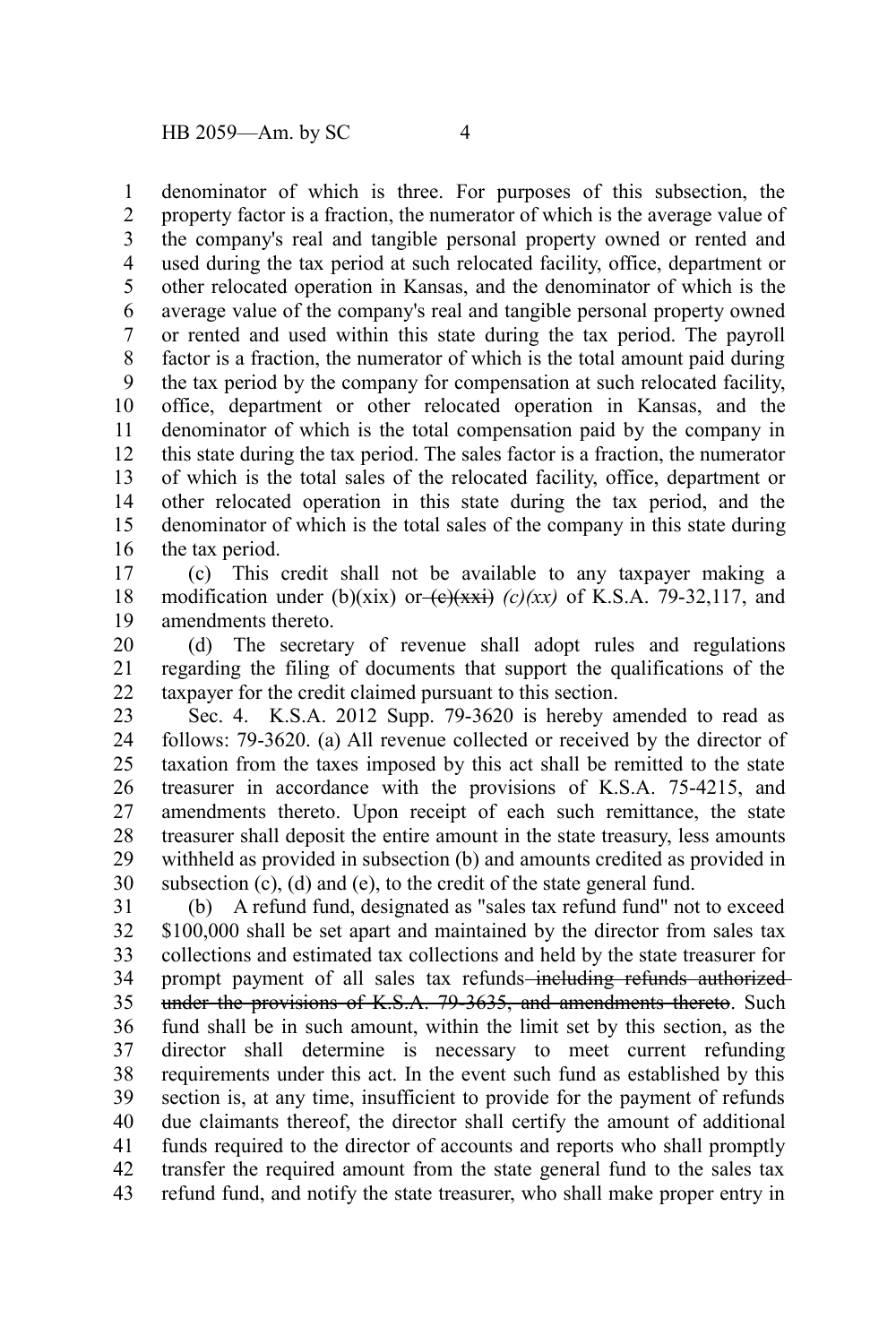denominator of which is three. For purposes of this subsection, the property factor is a fraction, the numerator of which is the average value of the company's real and tangible personal property owned or rented and used during the tax period at such relocated facility, office, department or other relocated operation in Kansas, and the denominator of which is the average value of the company's real and tangible personal property owned or rented and used within this state during the tax period. The payroll factor is a fraction, the numerator of which is the total amount paid during the tax period by the company for compensation at such relocated facility, office, department or other relocated operation in Kansas, and the denominator of which is the total compensation paid by the company in this state during the tax period. The sales factor is a fraction, the numerator of which is the total sales of the relocated facility, office, department or other relocated operation in this state during the tax period, and the denominator of which is the total sales of the company in this state during the tax period. 1 2 3 4 5 6 7 8 9 10 11 12 13 14 15 16

(c) This credit shall not be available to any taxpayer making a modification under (b)(xix) or  $\left(\frac{e}{x^x}\right)$  (c)(xx) of K.S.A. 79-32,117, and amendments thereto. 17 18 19

(d) The secretary of revenue shall adopt rules and regulations regarding the filing of documents that support the qualifications of the taxpayer for the credit claimed pursuant to this section. 20 21 22

Sec. 4. K.S.A. 2012 Supp. 79-3620 is hereby amended to read as follows: 79-3620. (a) All revenue collected or received by the director of taxation from the taxes imposed by this act shall be remitted to the state treasurer in accordance with the provisions of K.S.A. 75-4215, and amendments thereto. Upon receipt of each such remittance, the state treasurer shall deposit the entire amount in the state treasury, less amounts withheld as provided in subsection (b) and amounts credited as provided in subsection (c), (d) and (e), to the credit of the state general fund. 23 24 25 26 27 28 29 30

(b) A refund fund, designated as "sales tax refund fund" not to exceed \$100,000 shall be set apart and maintained by the director from sales tax collections and estimated tax collections and held by the state treasurer for prompt payment of all sales tax refunds-including refunds authorizedunder the provisions of K.S.A. 79-3635, and amendments thereto. Such fund shall be in such amount, within the limit set by this section, as the director shall determine is necessary to meet current refunding requirements under this act. In the event such fund as established by this section is, at any time, insufficient to provide for the payment of refunds due claimants thereof, the director shall certify the amount of additional funds required to the director of accounts and reports who shall promptly transfer the required amount from the state general fund to the sales tax refund fund, and notify the state treasurer, who shall make proper entry in 31 32 33 34 35 36 37 38 39 40 41 42 43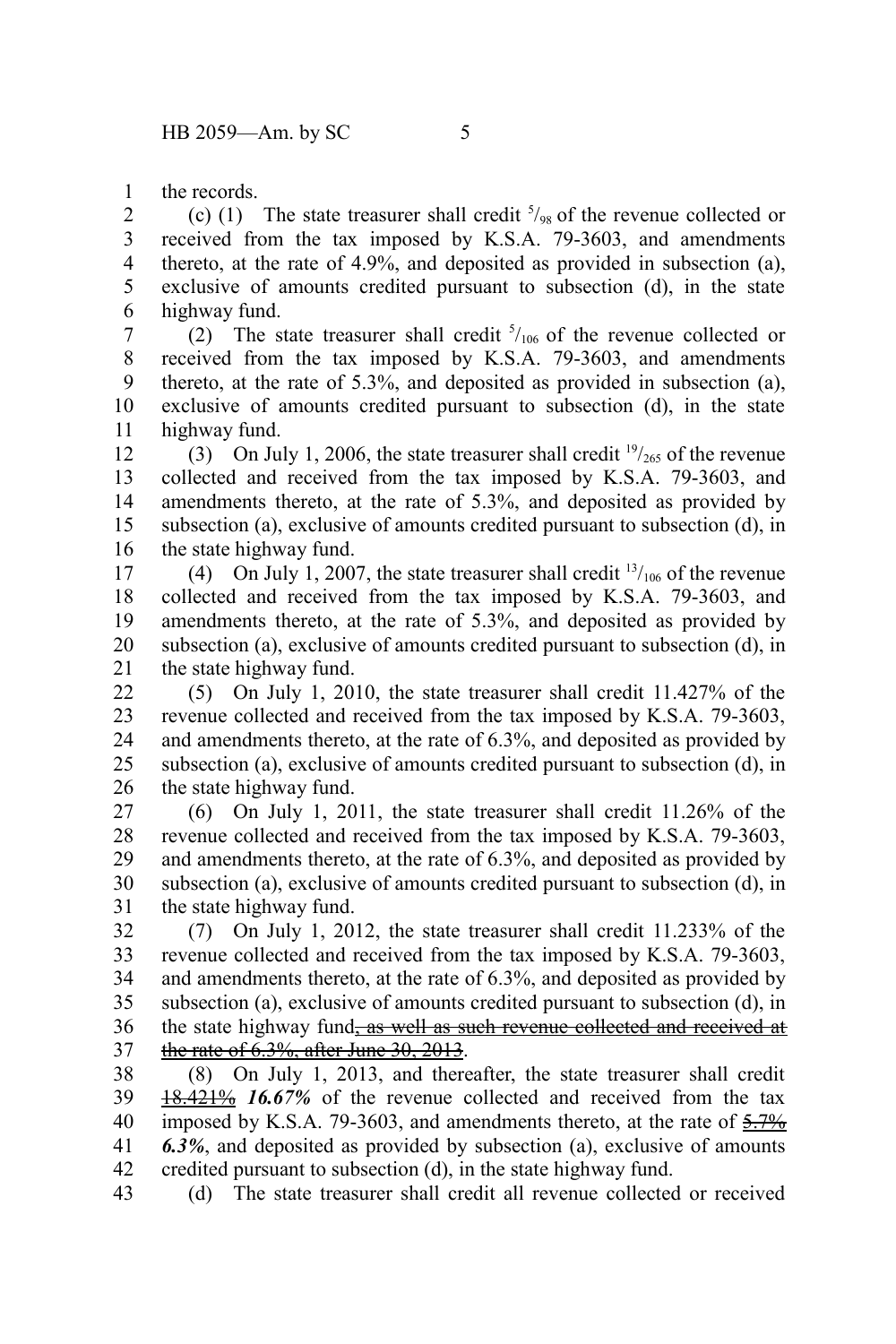the records. 1

(c) (1) The state treasurer shall credit  $\frac{5}{98}$  of the revenue collected or received from the tax imposed by K.S.A. 79-3603, and amendments thereto, at the rate of 4.9%, and deposited as provided in subsection (a), exclusive of amounts credited pursuant to subsection (d), in the state highway fund. 2 3 4 5 6

(2) The state treasurer shall credit  $5/106$  of the revenue collected or received from the tax imposed by K.S.A. 79-3603, and amendments thereto, at the rate of 5.3%, and deposited as provided in subsection (a), exclusive of amounts credited pursuant to subsection (d), in the state highway fund. 7 8 9 10 11

(3) On July 1, 2006, the state treasurer shall credit  $\frac{19}{265}$  of the revenue collected and received from the tax imposed by K.S.A. 79-3603, and amendments thereto, at the rate of 5.3%, and deposited as provided by subsection (a), exclusive of amounts credited pursuant to subsection (d), in the state highway fund. 12 13 14 15 16

(4) On July 1, 2007, the state treasurer shall credit  $\frac{13}{106}$  of the revenue collected and received from the tax imposed by K.S.A. 79-3603, and amendments thereto, at the rate of 5.3%, and deposited as provided by subsection (a), exclusive of amounts credited pursuant to subsection (d), in the state highway fund. 17 18 19 20 21

(5) On July 1, 2010, the state treasurer shall credit 11.427% of the revenue collected and received from the tax imposed by K.S.A. 79-3603, and amendments thereto, at the rate of 6.3%, and deposited as provided by subsection (a), exclusive of amounts credited pursuant to subsection (d), in the state highway fund. 22 23 24 25 26

(6) On July 1, 2011, the state treasurer shall credit 11.26% of the revenue collected and received from the tax imposed by K.S.A. 79-3603, and amendments thereto, at the rate of 6.3%, and deposited as provided by subsection (a), exclusive of amounts credited pursuant to subsection (d), in the state highway fund. 27 28 29 30 31

(7) On July 1, 2012, the state treasurer shall credit 11.233% of the revenue collected and received from the tax imposed by K.S.A. 79-3603, and amendments thereto, at the rate of 6.3%, and deposited as provided by subsection (a), exclusive of amounts credited pursuant to subsection (d), in the state highway fund<sub>ras</sub> well as such revenue collected and received at the rate of 6.3%, after June 30, 2013. 32 33 34 35 36 37

(8) On July 1, 2013, and thereafter, the state treasurer shall credit 18.421% 16.67% of the revenue collected and received from the tax imposed by K.S.A. 79-3603, and amendments thereto, at the rate of  $\frac{5.7\%}{2.7\%}$ *6.3%*, and deposited as provided by subsection (a), exclusive of amounts credited pursuant to subsection (d), in the state highway fund. 38 39 40 41 42

(d) The state treasurer shall credit all revenue collected or received 43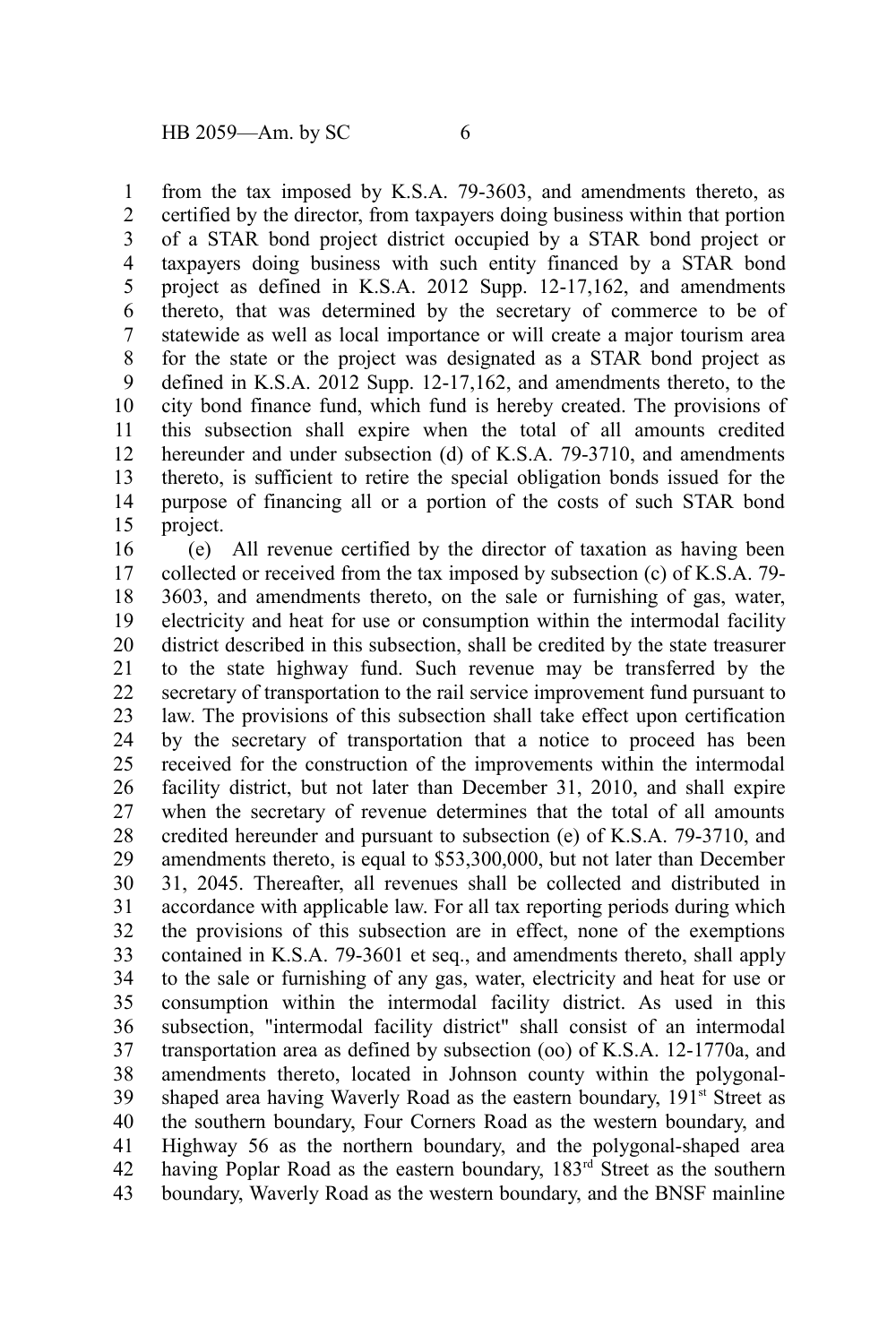from the tax imposed by K.S.A. 79-3603, and amendments thereto, as certified by the director, from taxpayers doing business within that portion of a STAR bond project district occupied by a STAR bond project or taxpayers doing business with such entity financed by a STAR bond project as defined in K.S.A. 2012 Supp. 12-17,162, and amendments thereto, that was determined by the secretary of commerce to be of statewide as well as local importance or will create a major tourism area for the state or the project was designated as a STAR bond project as defined in K.S.A. 2012 Supp. 12-17,162, and amendments thereto, to the city bond finance fund, which fund is hereby created. The provisions of this subsection shall expire when the total of all amounts credited hereunder and under subsection (d) of K.S.A. 79-3710, and amendments thereto, is sufficient to retire the special obligation bonds issued for the purpose of financing all or a portion of the costs of such STAR bond project. 1 2 3 4 5 6 7 8 9 10 11 12 13 14 15

(e) All revenue certified by the director of taxation as having been collected or received from the tax imposed by subsection (c) of K.S.A. 79- 3603, and amendments thereto, on the sale or furnishing of gas, water, electricity and heat for use or consumption within the intermodal facility district described in this subsection, shall be credited by the state treasurer to the state highway fund. Such revenue may be transferred by the secretary of transportation to the rail service improvement fund pursuant to law. The provisions of this subsection shall take effect upon certification by the secretary of transportation that a notice to proceed has been received for the construction of the improvements within the intermodal facility district, but not later than December 31, 2010, and shall expire when the secretary of revenue determines that the total of all amounts credited hereunder and pursuant to subsection (e) of K.S.A. 79-3710, and amendments thereto, is equal to \$53,300,000, but not later than December 31, 2045. Thereafter, all revenues shall be collected and distributed in accordance with applicable law. For all tax reporting periods during which the provisions of this subsection are in effect, none of the exemptions contained in K.S.A. 79-3601 et seq., and amendments thereto, shall apply to the sale or furnishing of any gas, water, electricity and heat for use or consumption within the intermodal facility district. As used in this subsection, "intermodal facility district" shall consist of an intermodal transportation area as defined by subsection (oo) of K.S.A. 12-1770a, and amendments thereto, located in Johnson county within the polygonalshaped area having Waverly Road as the eastern boundary, 191<sup>st</sup> Street as the southern boundary, Four Corners Road as the western boundary, and Highway 56 as the northern boundary, and the polygonal-shaped area having Poplar Road as the eastern boundary, 183<sup>rd</sup> Street as the southern boundary, Waverly Road as the western boundary, and the BNSF mainline 16 17 18 19 20 21 22 23 24 25 26 27 28 29 30 31 32 33 34 35 36 37 38 39 40 41 42 43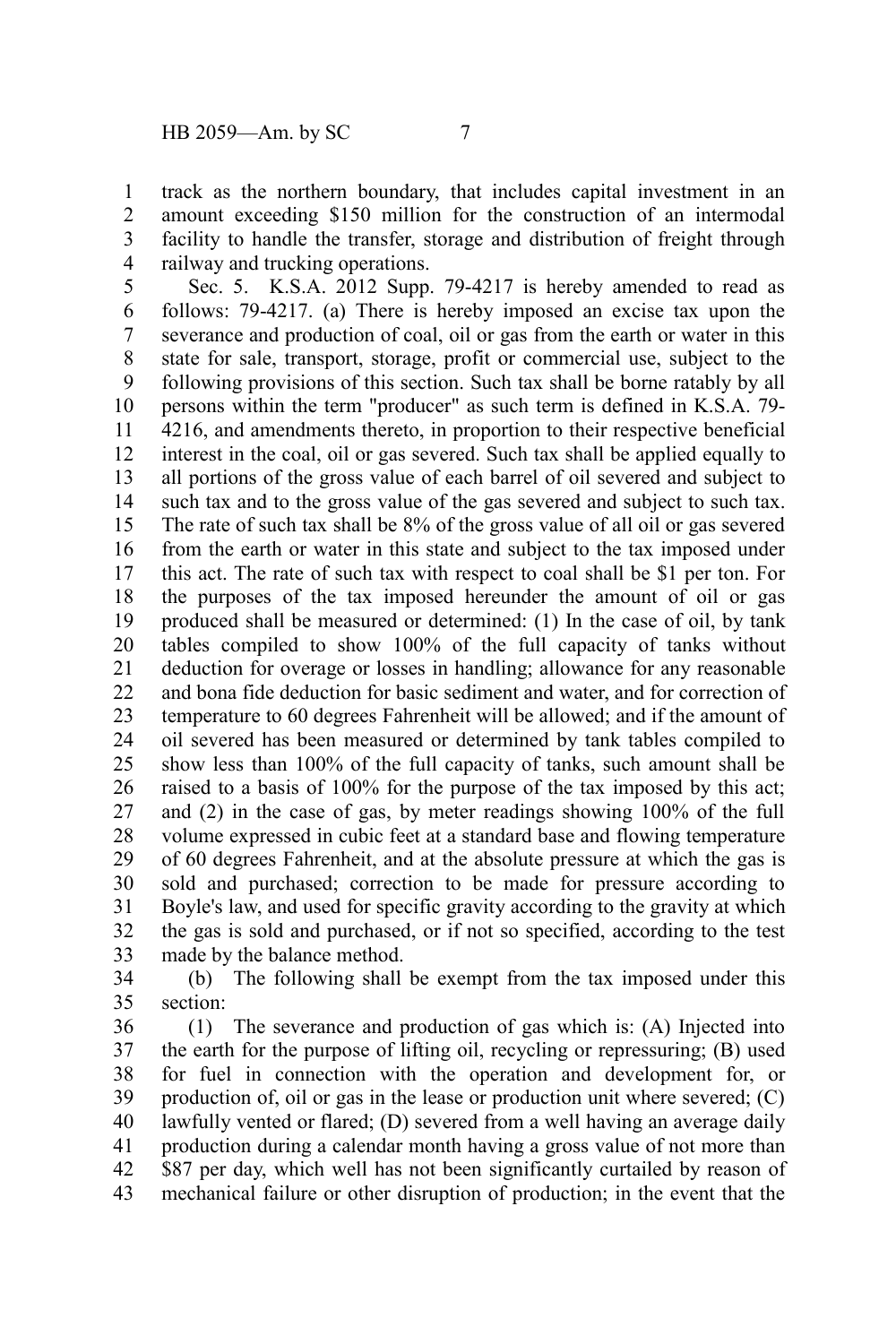track as the northern boundary, that includes capital investment in an amount exceeding \$150 million for the construction of an intermodal facility to handle the transfer, storage and distribution of freight through railway and trucking operations. 1 2 3 4

Sec. 5. K.S.A. 2012 Supp. 79-4217 is hereby amended to read as follows: 79-4217. (a) There is hereby imposed an excise tax upon the severance and production of coal, oil or gas from the earth or water in this state for sale, transport, storage, profit or commercial use, subject to the following provisions of this section. Such tax shall be borne ratably by all persons within the term "producer" as such term is defined in K.S.A. 79- 4216, and amendments thereto, in proportion to their respective beneficial interest in the coal, oil or gas severed. Such tax shall be applied equally to all portions of the gross value of each barrel of oil severed and subject to such tax and to the gross value of the gas severed and subject to such tax. The rate of such tax shall be 8% of the gross value of all oil or gas severed from the earth or water in this state and subject to the tax imposed under this act. The rate of such tax with respect to coal shall be \$1 per ton. For the purposes of the tax imposed hereunder the amount of oil or gas produced shall be measured or determined: (1) In the case of oil, by tank tables compiled to show 100% of the full capacity of tanks without deduction for overage or losses in handling; allowance for any reasonable and bona fide deduction for basic sediment and water, and for correction of temperature to 60 degrees Fahrenheit will be allowed; and if the amount of oil severed has been measured or determined by tank tables compiled to show less than 100% of the full capacity of tanks, such amount shall be raised to a basis of 100% for the purpose of the tax imposed by this act; and (2) in the case of gas, by meter readings showing 100% of the full volume expressed in cubic feet at a standard base and flowing temperature of 60 degrees Fahrenheit, and at the absolute pressure at which the gas is sold and purchased; correction to be made for pressure according to Boyle's law, and used for specific gravity according to the gravity at which the gas is sold and purchased, or if not so specified, according to the test made by the balance method. 5 6 7 8 9 10 11 12 13 14 15 16 17 18 19 20 21 22 23 24 25 26 27 28 29 30 31 32 33

(b) The following shall be exempt from the tax imposed under this section: 34 35

(1) The severance and production of gas which is: (A) Injected into the earth for the purpose of lifting oil, recycling or repressuring; (B) used for fuel in connection with the operation and development for, or production of, oil or gas in the lease or production unit where severed; (C) lawfully vented or flared; (D) severed from a well having an average daily production during a calendar month having a gross value of not more than \$87 per day, which well has not been significantly curtailed by reason of mechanical failure or other disruption of production; in the event that the 36 37 38 39 40 41 42 43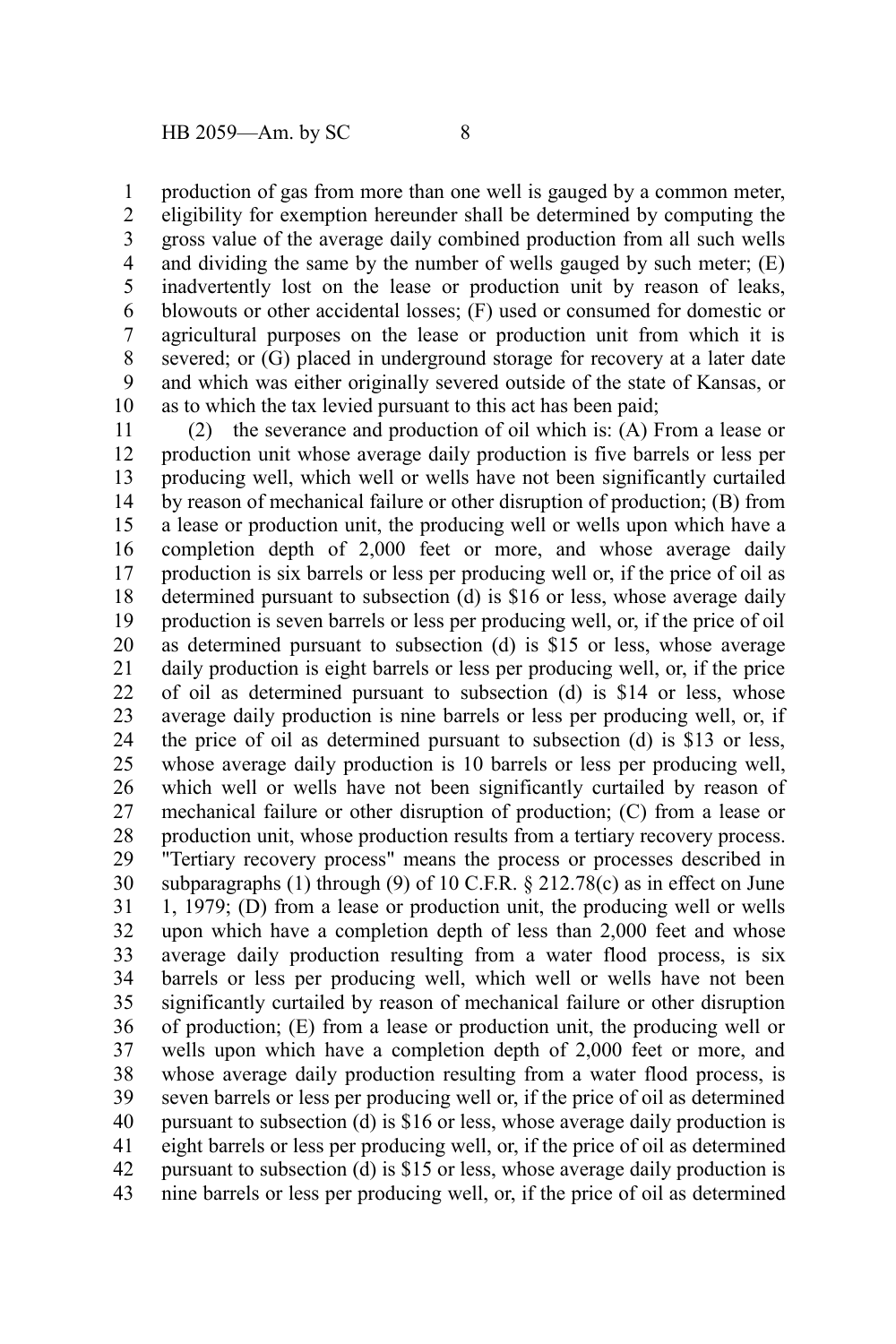production of gas from more than one well is gauged by a common meter, 1

eligibility for exemption hereunder shall be determined by computing the gross value of the average daily combined production from all such wells and dividing the same by the number of wells gauged by such meter; (E) inadvertently lost on the lease or production unit by reason of leaks, blowouts or other accidental losses; (F) used or consumed for domestic or agricultural purposes on the lease or production unit from which it is severed; or (G) placed in underground storage for recovery at a later date and which was either originally severed outside of the state of Kansas, or as to which the tax levied pursuant to this act has been paid; 2 3 4 5 6 7 8 9 10

(2) the severance and production of oil which is: (A) From a lease or production unit whose average daily production is five barrels or less per producing well, which well or wells have not been significantly curtailed by reason of mechanical failure or other disruption of production; (B) from a lease or production unit, the producing well or wells upon which have a completion depth of 2,000 feet or more, and whose average daily production is six barrels or less per producing well or, if the price of oil as determined pursuant to subsection (d) is \$16 or less, whose average daily production is seven barrels or less per producing well, or, if the price of oil as determined pursuant to subsection (d) is \$15 or less, whose average daily production is eight barrels or less per producing well, or, if the price of oil as determined pursuant to subsection (d) is \$14 or less, whose average daily production is nine barrels or less per producing well, or, if the price of oil as determined pursuant to subsection (d) is \$13 or less, whose average daily production is 10 barrels or less per producing well, which well or wells have not been significantly curtailed by reason of mechanical failure or other disruption of production; (C) from a lease or production unit, whose production results from a tertiary recovery process. "Tertiary recovery process" means the process or processes described in subparagraphs (1) through (9) of 10 C.F.R.  $\S$  212.78(c) as in effect on June 1, 1979; (D) from a lease or production unit, the producing well or wells upon which have a completion depth of less than 2,000 feet and whose average daily production resulting from a water flood process, is six barrels or less per producing well, which well or wells have not been significantly curtailed by reason of mechanical failure or other disruption of production; (E) from a lease or production unit, the producing well or wells upon which have a completion depth of 2,000 feet or more, and whose average daily production resulting from a water flood process, is seven barrels or less per producing well or, if the price of oil as determined pursuant to subsection (d) is \$16 or less, whose average daily production is eight barrels or less per producing well, or, if the price of oil as determined pursuant to subsection (d) is \$15 or less, whose average daily production is nine barrels or less per producing well, or, if the price of oil as determined 11 12 13 14 15 16 17 18 19 20 21 22 23 24 25 26 27 28 29 30 31 32 33 34 35 36 37 38 39 40 41 42 43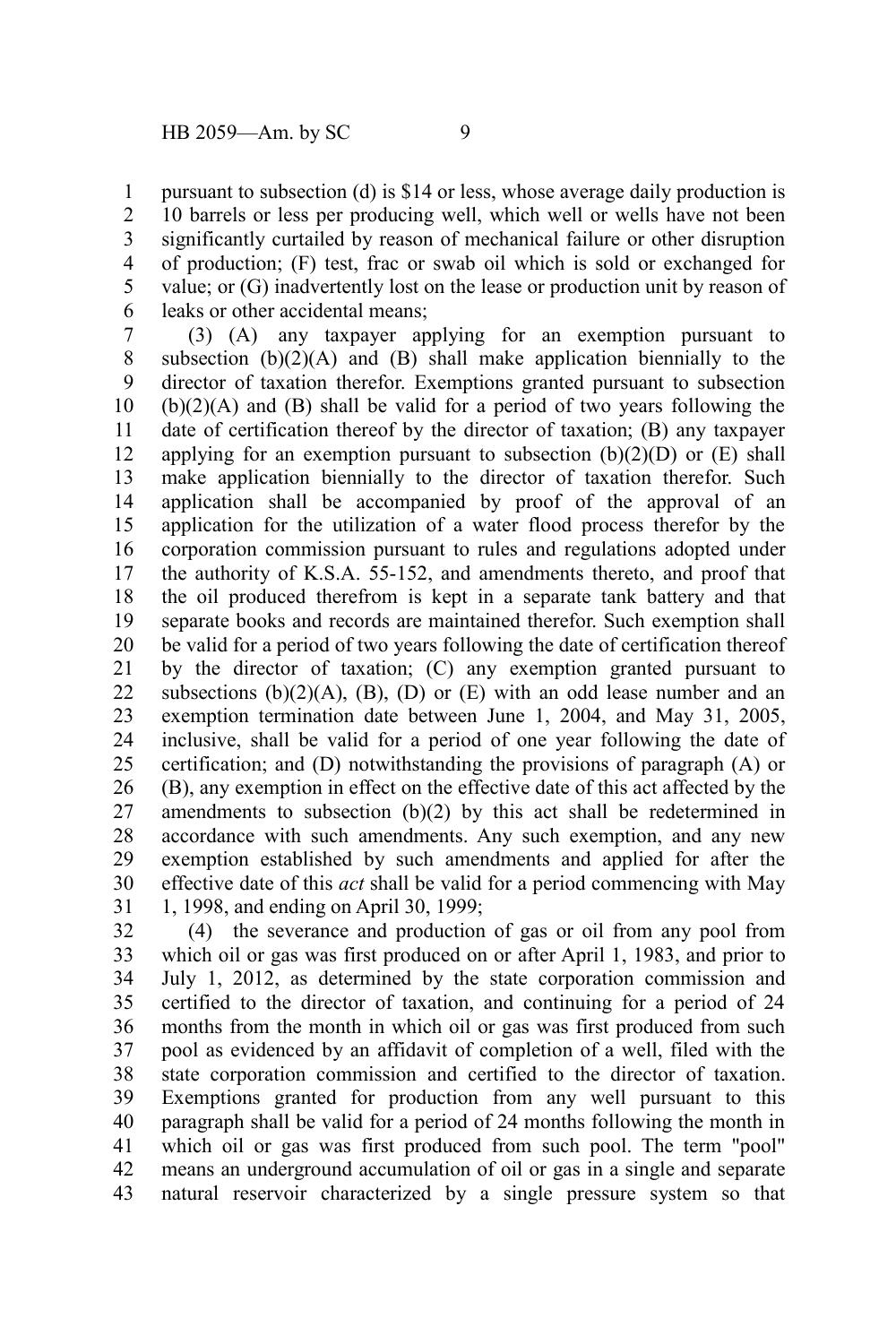pursuant to subsection (d) is \$14 or less, whose average daily production is 10 barrels or less per producing well, which well or wells have not been significantly curtailed by reason of mechanical failure or other disruption of production; (F) test, frac or swab oil which is sold or exchanged for value; or (G) inadvertently lost on the lease or production unit by reason of leaks or other accidental means; 1 2 3 4 5 6

(3) (A) any taxpayer applying for an exemption pursuant to subsection  $(b)(2)(A)$  and  $(B)$  shall make application biennially to the director of taxation therefor. Exemptions granted pursuant to subsection (b)(2)(A) and (B) shall be valid for a period of two years following the date of certification thereof by the director of taxation; (B) any taxpayer applying for an exemption pursuant to subsection  $(b)(2)(D)$  or  $(E)$  shall make application biennially to the director of taxation therefor. Such application shall be accompanied by proof of the approval of an application for the utilization of a water flood process therefor by the corporation commission pursuant to rules and regulations adopted under the authority of K.S.A. 55-152, and amendments thereto, and proof that the oil produced therefrom is kept in a separate tank battery and that separate books and records are maintained therefor. Such exemption shall be valid for a period of two years following the date of certification thereof by the director of taxation; (C) any exemption granted pursuant to subsections  $(b)(2)(A)$ ,  $(B)$ ,  $(D)$  or  $(E)$  with an odd lease number and an exemption termination date between June 1, 2004, and May 31, 2005, inclusive, shall be valid for a period of one year following the date of certification; and (D) notwithstanding the provisions of paragraph (A) or (B), any exemption in effect on the effective date of this act affected by the amendments to subsection (b)(2) by this act shall be redetermined in accordance with such amendments. Any such exemption, and any new exemption established by such amendments and applied for after the effective date of this *act* shall be valid for a period commencing with May 1, 1998, and ending on April 30, 1999; 7 8 9 10 11 12 13 14 15 16 17 18 19 20 21 22 23 24 25 26 27 28 29 30 31

(4) the severance and production of gas or oil from any pool from which oil or gas was first produced on or after April 1, 1983, and prior to July 1, 2012, as determined by the state corporation commission and certified to the director of taxation, and continuing for a period of 24 months from the month in which oil or gas was first produced from such pool as evidenced by an affidavit of completion of a well, filed with the state corporation commission and certified to the director of taxation. Exemptions granted for production from any well pursuant to this paragraph shall be valid for a period of 24 months following the month in which oil or gas was first produced from such pool. The term "pool" means an underground accumulation of oil or gas in a single and separate natural reservoir characterized by a single pressure system so that 32 33 34 35 36 37 38 39 40 41 42 43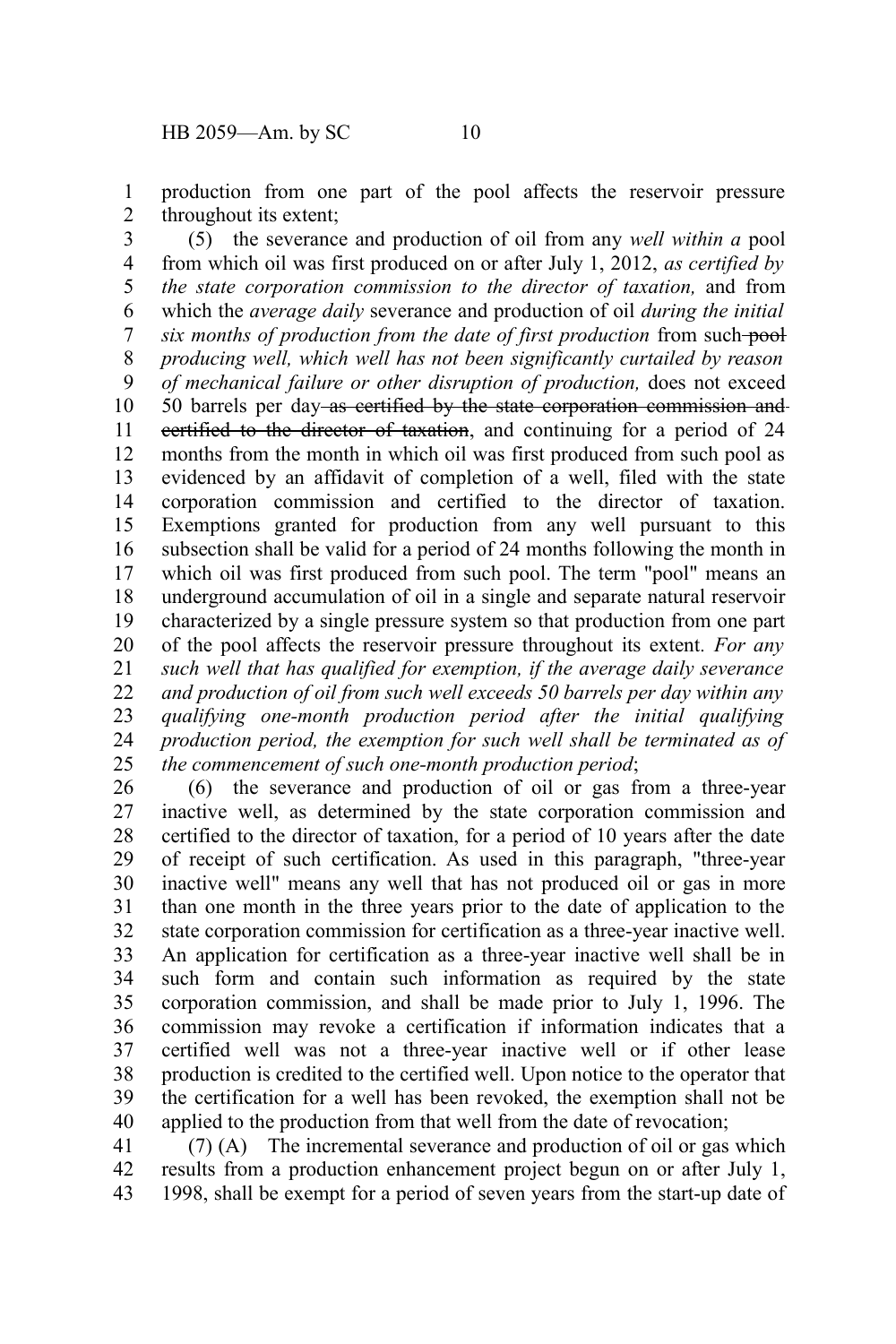production from one part of the pool affects the reservoir pressure throughout its extent; 1 2

(5) the severance and production of oil from any *well within a* pool from which oil was first produced on or after July 1, 2012, *as certified by the state corporation commission to the director of taxation,* and from which the *average daily* severance and production of oil *during the initial six months of production from the date of first production from such-pool producing well, which well has not been significantly curtailed by reason of mechanical failure or other disruption of production,* does not exceed 50 barrels per day as certified by the state corporation commission and certified to the director of taxation, and continuing for a period of 24 months from the month in which oil was first produced from such pool as evidenced by an affidavit of completion of a well, filed with the state corporation commission and certified to the director of taxation. Exemptions granted for production from any well pursuant to this subsection shall be valid for a period of 24 months following the month in which oil was first produced from such pool. The term "pool" means an underground accumulation of oil in a single and separate natural reservoir characterized by a single pressure system so that production from one part of the pool affects the reservoir pressure throughout its extent*. For any such well that has qualified for exemption, if the average daily severance and production of oil from such well exceeds 50 barrels per day within any qualifying one-month production period after the initial qualifying production period, the exemption for such well shall be terminated as of the commencement of such one-month production period*; 3 4 5 6 7 8 9 10 11 12 13 14 15 16 17 18 19 20 21 22 23 24 25

(6) the severance and production of oil or gas from a three-year inactive well, as determined by the state corporation commission and certified to the director of taxation, for a period of 10 years after the date of receipt of such certification. As used in this paragraph, "three-year inactive well" means any well that has not produced oil or gas in more than one month in the three years prior to the date of application to the state corporation commission for certification as a three-year inactive well. An application for certification as a three-year inactive well shall be in such form and contain such information as required by the state corporation commission, and shall be made prior to July 1, 1996. The commission may revoke a certification if information indicates that a certified well was not a three-year inactive well or if other lease production is credited to the certified well. Upon notice to the operator that the certification for a well has been revoked, the exemption shall not be applied to the production from that well from the date of revocation; 26 27 28 29 30 31 32 33 34 35 36 37 38 39 40

(7) (A) The incremental severance and production of oil or gas which results from a production enhancement project begun on or after July 1, 1998, shall be exempt for a period of seven years from the start-up date of 41 42 43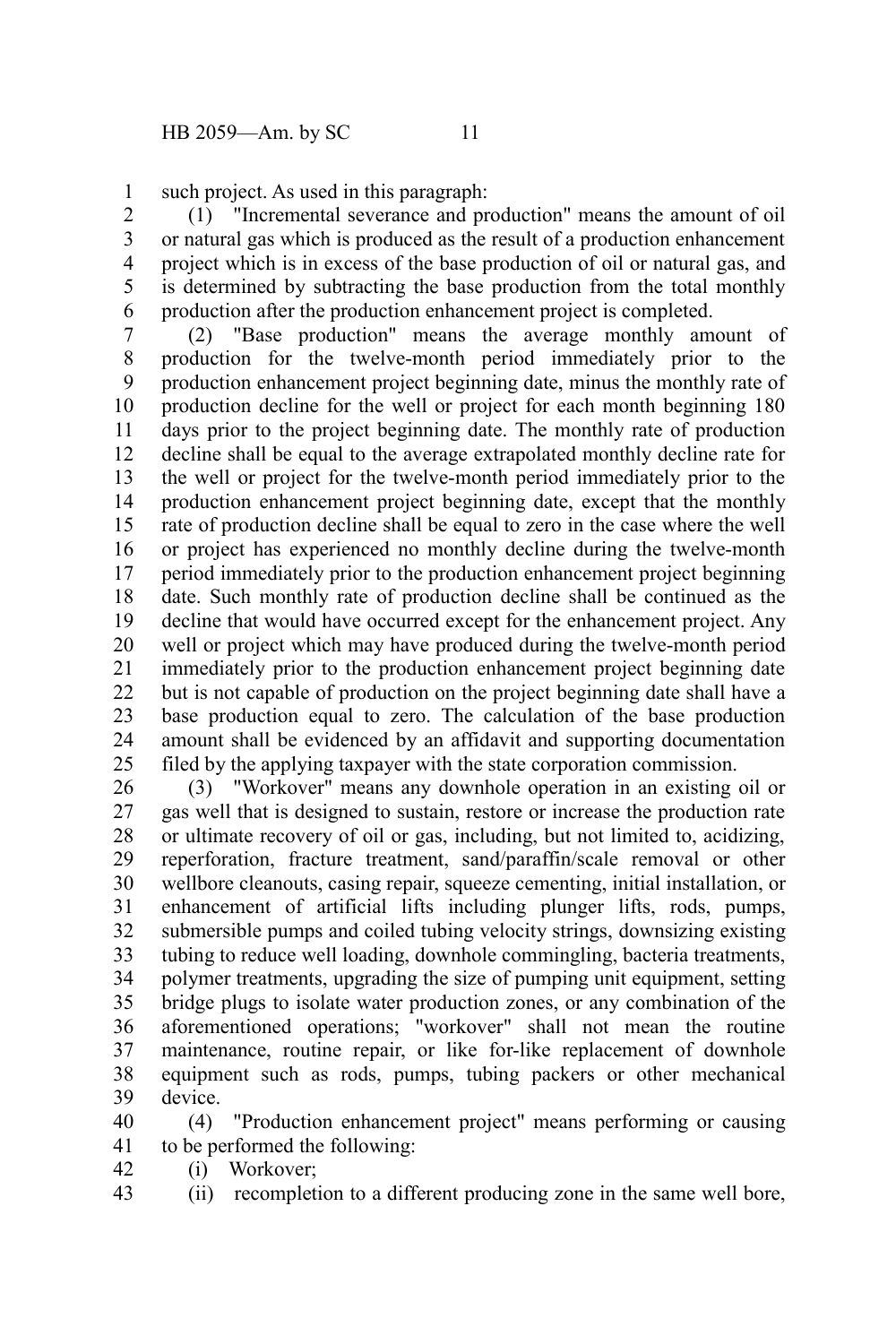such project. As used in this paragraph: 1

(1) "Incremental severance and production" means the amount of oil or natural gas which is produced as the result of a production enhancement project which is in excess of the base production of oil or natural gas, and is determined by subtracting the base production from the total monthly production after the production enhancement project is completed. 2 3 4 5 6

(2) "Base production" means the average monthly amount of production for the twelve-month period immediately prior to the production enhancement project beginning date, minus the monthly rate of production decline for the well or project for each month beginning 180 days prior to the project beginning date. The monthly rate of production decline shall be equal to the average extrapolated monthly decline rate for the well or project for the twelve-month period immediately prior to the production enhancement project beginning date, except that the monthly rate of production decline shall be equal to zero in the case where the well or project has experienced no monthly decline during the twelve-month period immediately prior to the production enhancement project beginning date. Such monthly rate of production decline shall be continued as the decline that would have occurred except for the enhancement project. Any well or project which may have produced during the twelve-month period immediately prior to the production enhancement project beginning date but is not capable of production on the project beginning date shall have a base production equal to zero. The calculation of the base production amount shall be evidenced by an affidavit and supporting documentation filed by the applying taxpayer with the state corporation commission. 7 8 9 10 11 12 13 14 15 16 17 18 19 20 21 22 23 24 25

(3) "Workover" means any downhole operation in an existing oil or gas well that is designed to sustain, restore or increase the production rate or ultimate recovery of oil or gas, including, but not limited to, acidizing, reperforation, fracture treatment, sand/paraffin/scale removal or other wellbore cleanouts, casing repair, squeeze cementing, initial installation, or enhancement of artificial lifts including plunger lifts, rods, pumps, submersible pumps and coiled tubing velocity strings, downsizing existing tubing to reduce well loading, downhole commingling, bacteria treatments, polymer treatments, upgrading the size of pumping unit equipment, setting bridge plugs to isolate water production zones, or any combination of the aforementioned operations; "workover" shall not mean the routine maintenance, routine repair, or like for-like replacement of downhole equipment such as rods, pumps, tubing packers or other mechanical device. 26 27 28 29 30 31 32 33 34 35 36 37 38 39

(4) "Production enhancement project" means performing or causing to be performed the following: 40 41

- (i) Workover; 42
- (ii) recompletion to a different producing zone in the same well bore, 43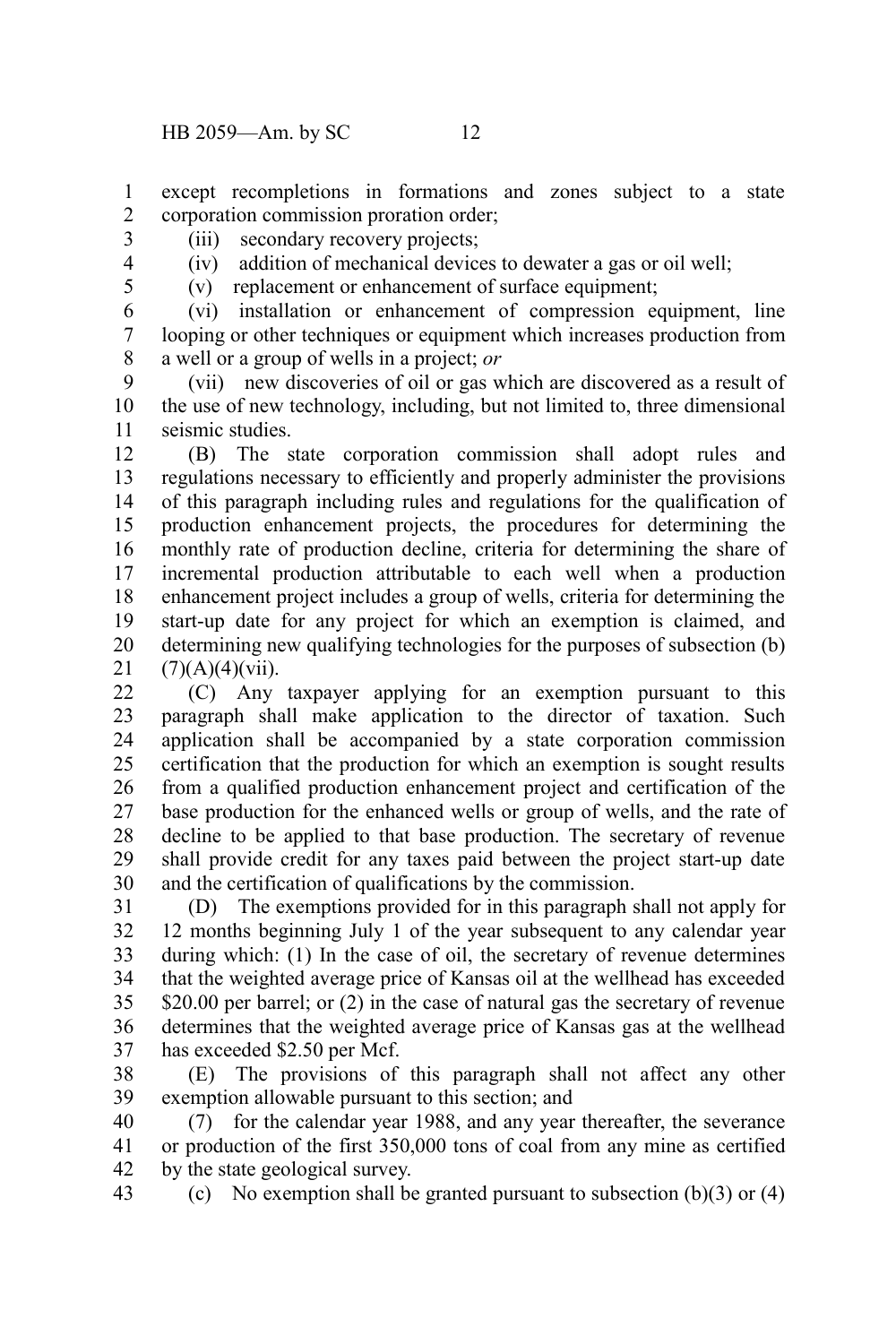except recompletions in formations and zones subject to a state corporation commission proration order; 1 2

3

(iv) addition of mechanical devices to dewater a gas or oil well;

(v) replacement or enhancement of surface equipment;

(iii) secondary recovery projects;

(vi) installation or enhancement of compression equipment, line looping or other techniques or equipment which increases production from a well or a group of wells in a project; *or* 6 7 8

(vii) new discoveries of oil or gas which are discovered as a result of the use of new technology, including, but not limited to, three dimensional seismic studies. 9 10 11

(B) The state corporation commission shall adopt rules and regulations necessary to efficiently and properly administer the provisions of this paragraph including rules and regulations for the qualification of production enhancement projects, the procedures for determining the monthly rate of production decline, criteria for determining the share of incremental production attributable to each well when a production enhancement project includes a group of wells, criteria for determining the start-up date for any project for which an exemption is claimed, and determining new qualifying technologies for the purposes of subsection (b)  $(7)(A)(4)(vii)$ . 12 13 14 15 16 17 18 19 20 21

(C) Any taxpayer applying for an exemption pursuant to this paragraph shall make application to the director of taxation. Such application shall be accompanied by a state corporation commission certification that the production for which an exemption is sought results from a qualified production enhancement project and certification of the base production for the enhanced wells or group of wells, and the rate of decline to be applied to that base production. The secretary of revenue shall provide credit for any taxes paid between the project start-up date and the certification of qualifications by the commission. 22 23 24 25 26 27 28 29 30

(D) The exemptions provided for in this paragraph shall not apply for 12 months beginning July 1 of the year subsequent to any calendar year during which: (1) In the case of oil, the secretary of revenue determines that the weighted average price of Kansas oil at the wellhead has exceeded \$20.00 per barrel; or (2) in the case of natural gas the secretary of revenue determines that the weighted average price of Kansas gas at the wellhead has exceeded \$2.50 per Mcf. 31 32 33 34 35 36 37

(E) The provisions of this paragraph shall not affect any other exemption allowable pursuant to this section; and 38 39

(7) for the calendar year 1988, and any year thereafter, the severance or production of the first 350,000 tons of coal from any mine as certified by the state geological survey. 40 41 42

(c) No exemption shall be granted pursuant to subsection  $(b)(3)$  or  $(4)$ 43

5

4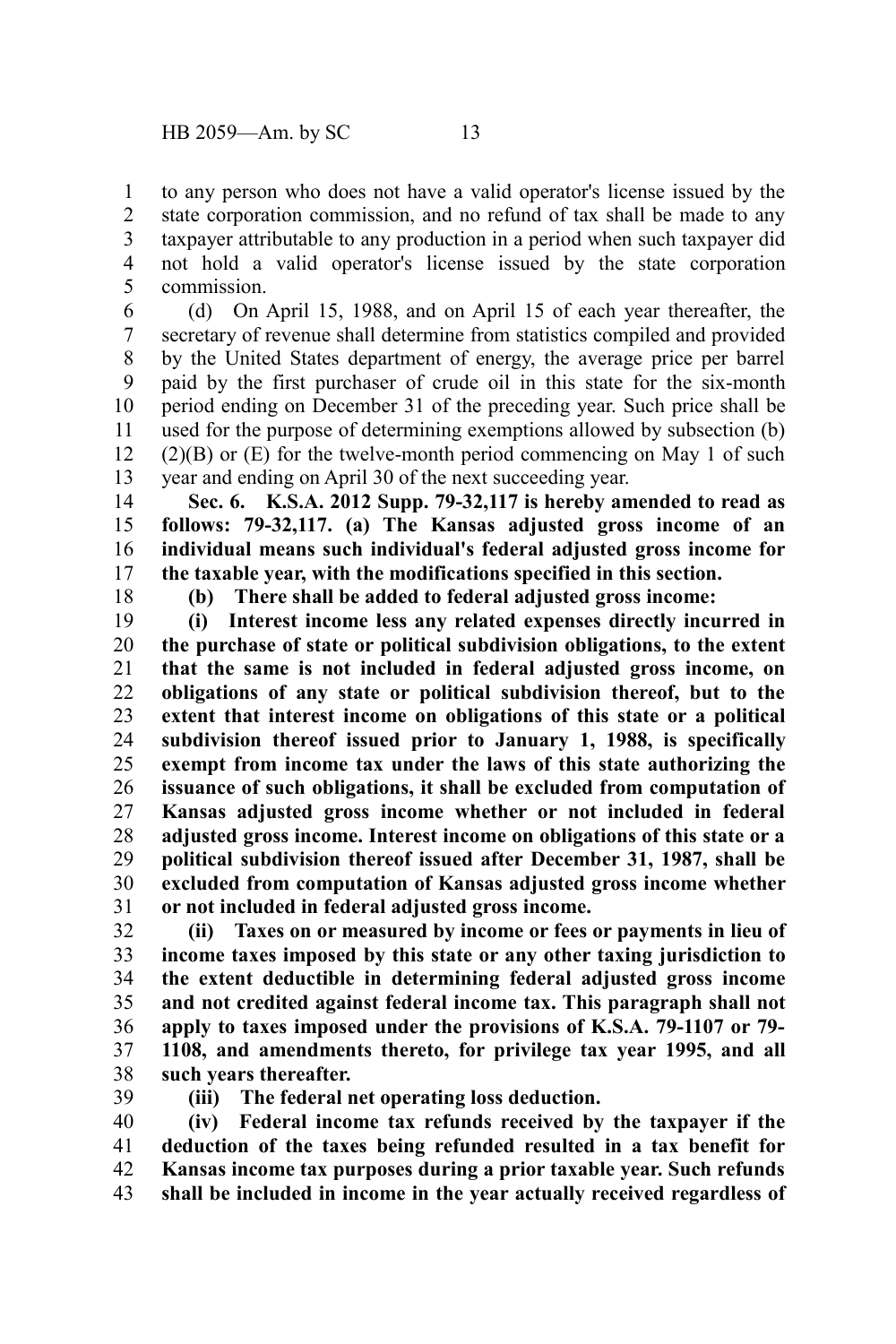to any person who does not have a valid operator's license issued by the state corporation commission, and no refund of tax shall be made to any taxpayer attributable to any production in a period when such taxpayer did not hold a valid operator's license issued by the state corporation commission. 1 2 3 4 5

(d) On April 15, 1988, and on April 15 of each year thereafter, the secretary of revenue shall determine from statistics compiled and provided by the United States department of energy, the average price per barrel paid by the first purchaser of crude oil in this state for the six-month period ending on December 31 of the preceding year. Such price shall be used for the purpose of determining exemptions allowed by subsection (b)  $(2)(B)$  or  $(E)$  for the twelve-month period commencing on May 1 of such year and ending on April 30 of the next succeeding year. 6 7 8 9 10 11 12 13

**Sec. 6. K.S.A. 2012 Supp. 79-32,117 is hereby amended to read as follows: 79-32,117. (a) The Kansas adjusted gross income of an individual means such individual's federal adjusted gross income for the taxable year, with the modifications specified in this section.** 14 15 16 17

18

**(b) There shall be added to federal adjusted gross income:**

**(i) Interest income less any related expenses directly incurred in the purchase of state or political subdivision obligations, to the extent that the same is not included in federal adjusted gross income, on obligations of any state or political subdivision thereof, but to the extent that interest income on obligations of this state or a political subdivision thereof issued prior to January 1, 1988, is specifically exempt from income tax under the laws of this state authorizing the issuance of such obligations, it shall be excluded from computation of Kansas adjusted gross income whether or not included in federal adjusted gross income. Interest income on obligations of this state or a political subdivision thereof issued after December 31, 1987, shall be excluded from computation of Kansas adjusted gross income whether or not included in federal adjusted gross income.** 19 20 21 22 23 24 25 26 27 28 29 30 31

**(ii) Taxes on or measured by income or fees or payments in lieu of income taxes imposed by this state or any other taxing jurisdiction to the extent deductible in determining federal adjusted gross income and not credited against federal income tax. This paragraph shall not apply to taxes imposed under the provisions of K.S.A. 79-1107 or 79- 1108, and amendments thereto, for privilege tax year 1995, and all such years thereafter.** 32 33 34 35 36 37 38

39

**(iii) The federal net operating loss deduction.**

**(iv) Federal income tax refunds received by the taxpayer if the deduction of the taxes being refunded resulted in a tax benefit for Kansas income tax purposes during a prior taxable year. Such refunds shall be included in income in the year actually received regardless of** 40 41 42 43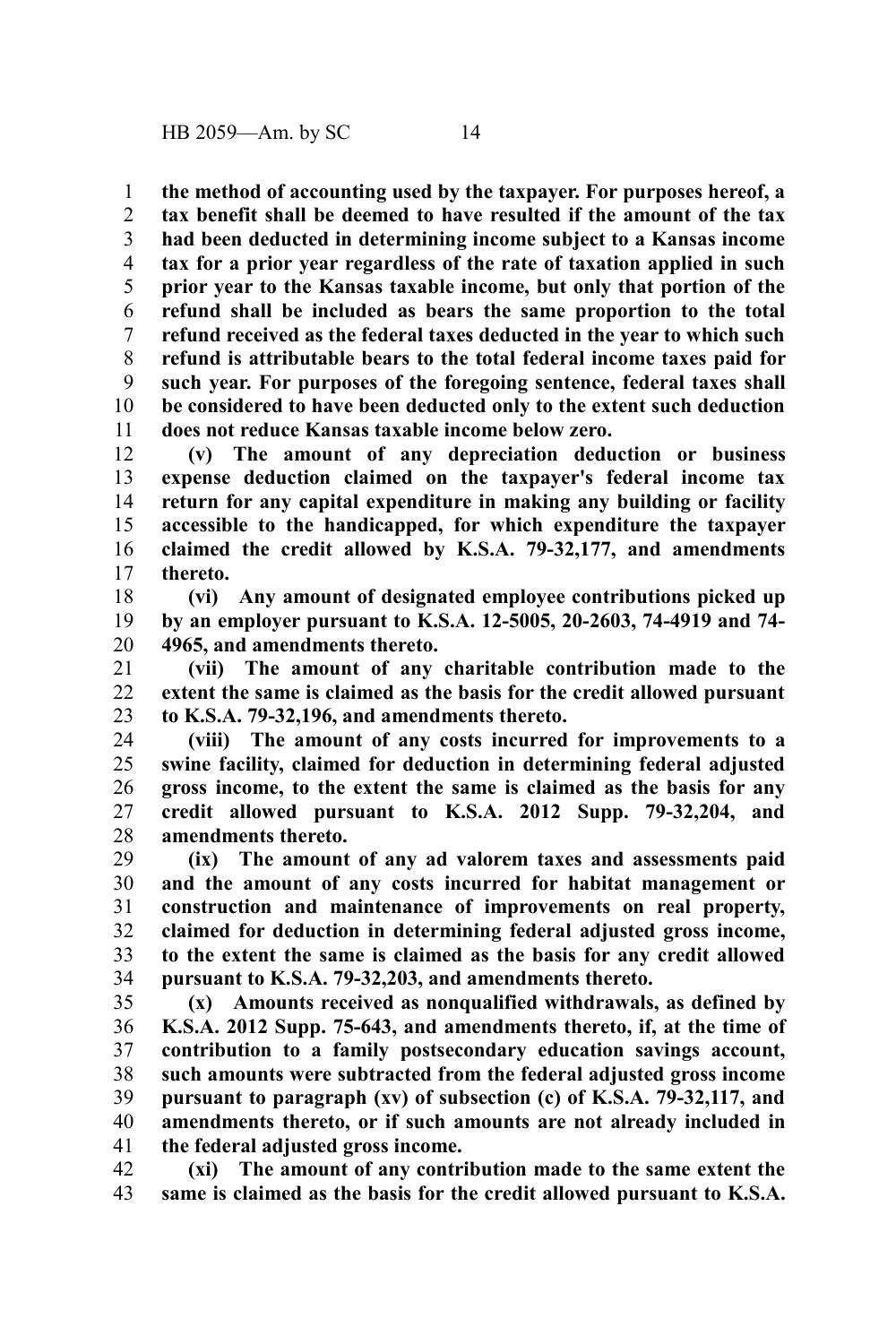**the method of accounting used by the taxpayer. For purposes hereof, a** 1

**tax benefit shall be deemed to have resulted if the amount of the tax had been deducted in determining income subject to a Kansas income tax for a prior year regardless of the rate of taxation applied in such prior year to the Kansas taxable income, but only that portion of the refund shall be included as bears the same proportion to the total refund received as the federal taxes deducted in the year to which such refund is attributable bears to the total federal income taxes paid for such year. For purposes of the foregoing sentence, federal taxes shall be considered to have been deducted only to the extent such deduction does not reduce Kansas taxable income below zero.** 2 3 4 5 6 7 8 9 10 11

**(v) The amount of any depreciation deduction or business expense deduction claimed on the taxpayer's federal income tax return for any capital expenditure in making any building or facility accessible to the handicapped, for which expenditure the taxpayer claimed the credit allowed by K.S.A. 79-32,177, and amendments thereto.** 12 13 14 15 16 17

**(vi) Any amount of designated employee contributions picked up by an employer pursuant to K.S.A. 12-5005, 20-2603, 74-4919 and 74- 4965, and amendments thereto.** 18 19 20

**(vii) The amount of any charitable contribution made to the extent the same is claimed as the basis for the credit allowed pursuant to K.S.A. 79-32,196, and amendments thereto.** 21 22 23

**(viii) The amount of any costs incurred for improvements to a swine facility, claimed for deduction in determining federal adjusted gross income, to the extent the same is claimed as the basis for any credit allowed pursuant to K.S.A. 2012 Supp. 79-32,204, and amendments thereto.** 24 25 26 27 28

**(ix) The amount of any ad valorem taxes and assessments paid and the amount of any costs incurred for habitat management or construction and maintenance of improvements on real property, claimed for deduction in determining federal adjusted gross income, to the extent the same is claimed as the basis for any credit allowed pursuant to K.S.A. 79-32,203, and amendments thereto.** 29 30 31 32 33 34

**(x) Amounts received as nonqualified withdrawals, as defined by K.S.A. 2012 Supp. 75-643, and amendments thereto, if, at the time of contribution to a family postsecondary education savings account, such amounts were subtracted from the federal adjusted gross income pursuant to paragraph (xv) of subsection (c) of K.S.A. 79-32,117, and amendments thereto, or if such amounts are not already included in the federal adjusted gross income.** 35 36 37 38 39 40 41

**(xi) The amount of any contribution made to the same extent the same is claimed as the basis for the credit allowed pursuant to K.S.A.** 42 43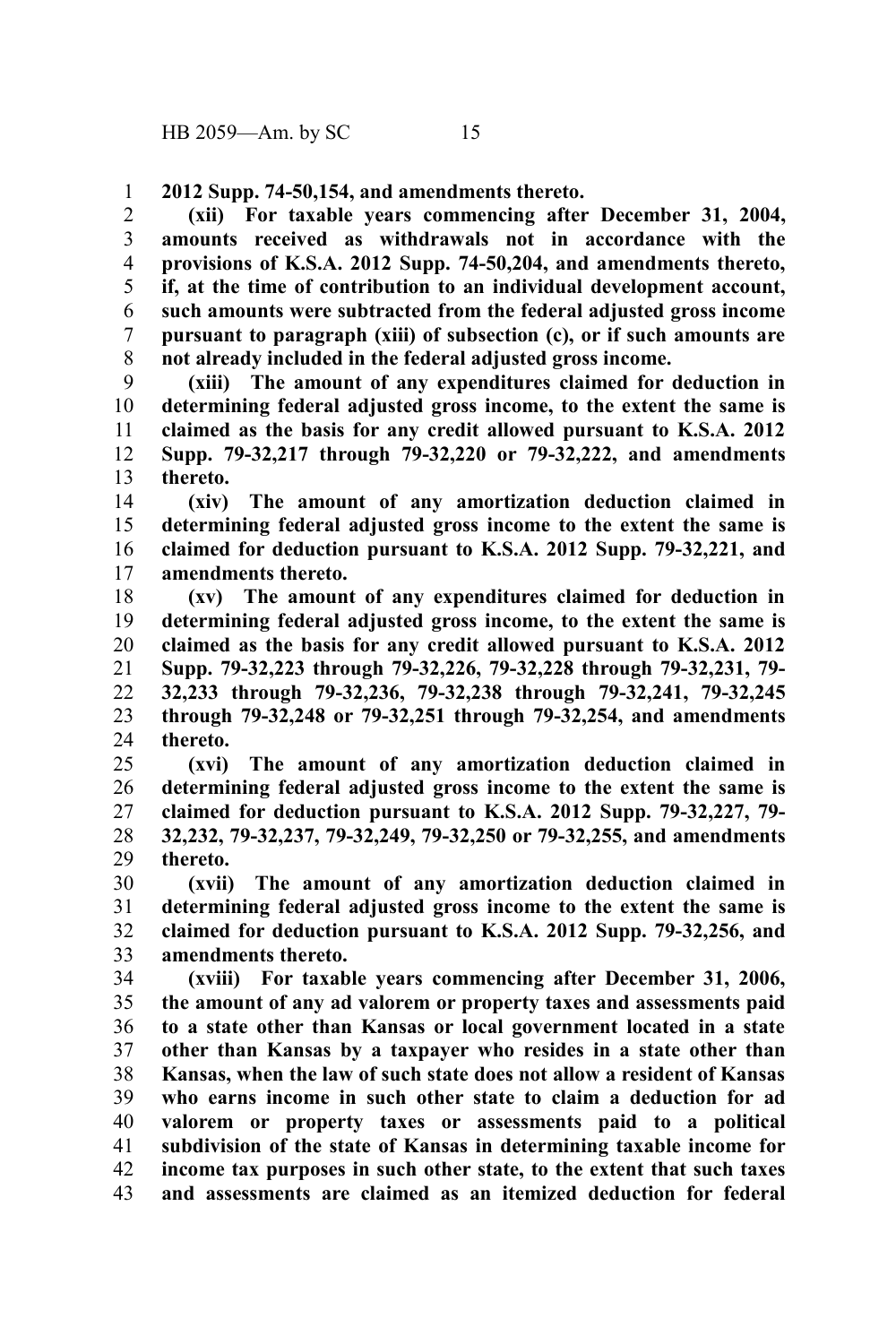**2012 Supp. 74-50,154, and amendments thereto.** 1

**(xii) For taxable years commencing after December 31, 2004, amounts received as withdrawals not in accordance with the provisions of K.S.A. 2012 Supp. 74-50,204, and amendments thereto, if, at the time of contribution to an individual development account, such amounts were subtracted from the federal adjusted gross income pursuant to paragraph (xiii) of subsection (c), or if such amounts are not already included in the federal adjusted gross income.** 2 3 4 5 6 7 8

**(xiii) The amount of any expenditures claimed for deduction in determining federal adjusted gross income, to the extent the same is claimed as the basis for any credit allowed pursuant to K.S.A. 2012 Supp. 79-32,217 through 79-32,220 or 79-32,222, and amendments thereto.** 9 10 11 12 13

**(xiv) The amount of any amortization deduction claimed in determining federal adjusted gross income to the extent the same is claimed for deduction pursuant to K.S.A. 2012 Supp. 79-32,221, and amendments thereto.** 14 15 16 17

**(xv) The amount of any expenditures claimed for deduction in determining federal adjusted gross income, to the extent the same is claimed as the basis for any credit allowed pursuant to K.S.A. 2012 Supp. 79-32,223 through 79-32,226, 79-32,228 through 79-32,231, 79- 32,233 through 79-32,236, 79-32,238 through 79-32,241, 79-32,245 through 79-32,248 or 79-32,251 through 79-32,254, and amendments thereto.** 18 19 20 21 22 23 24

**(xvi) The amount of any amortization deduction claimed in determining federal adjusted gross income to the extent the same is claimed for deduction pursuant to K.S.A. 2012 Supp. 79-32,227, 79- 32,232, 79-32,237, 79-32,249, 79-32,250 or 79-32,255, and amendments thereto.** 25 26 27 28 29

**(xvii) The amount of any amortization deduction claimed in determining federal adjusted gross income to the extent the same is claimed for deduction pursuant to K.S.A. 2012 Supp. 79-32,256, and amendments thereto.** 30 31 32 33

**(xviii) For taxable years commencing after December 31, 2006, the amount of any ad valorem or property taxes and assessments paid to a state other than Kansas or local government located in a state other than Kansas by a taxpayer who resides in a state other than Kansas, when the law of such state does not allow a resident of Kansas who earns income in such other state to claim a deduction for ad valorem or property taxes or assessments paid to a political subdivision of the state of Kansas in determining taxable income for income tax purposes in such other state, to the extent that such taxes and assessments are claimed as an itemized deduction for federal** 34 35 36 37 38 39 40 41 42 43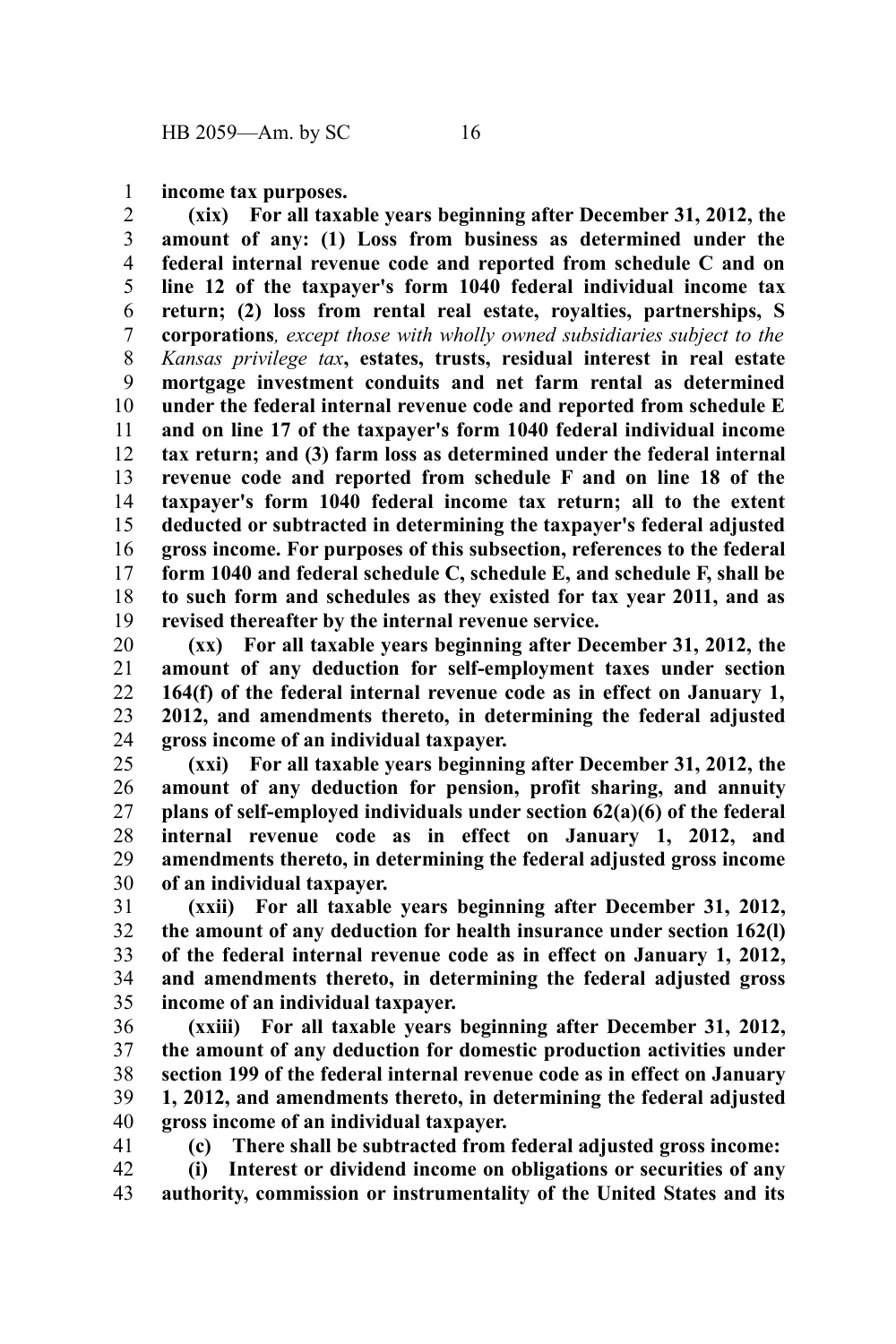**income tax purposes.** 1

**(xix) For all taxable years beginning after December 31, 2012, the amount of any: (1) Loss from business as determined under the federal internal revenue code and reported from schedule C and on line 12 of the taxpayer's form 1040 federal individual income tax return; (2) loss from rental real estate, royalties, partnerships, S corporations***, except those with wholly owned subsidiaries subject to the Kansas privilege tax***, estates, trusts, residual interest in real estate mortgage investment conduits and net farm rental as determined under the federal internal revenue code and reported from schedule E and on line 17 of the taxpayer's form 1040 federal individual income tax return; and (3) farm loss as determined under the federal internal revenue code and reported from schedule F and on line 18 of the taxpayer's form 1040 federal income tax return; all to the extent deducted or subtracted in determining the taxpayer's federal adjusted gross income. For purposes of this subsection, references to the federal form 1040 and federal schedule C, schedule E, and schedule F, shall be to such form and schedules as they existed for tax year 2011, and as revised thereafter by the internal revenue service.** 2 3 4 5 6 7 8 9 10 11 12 13 14 15 16 17 18 19

**(xx) For all taxable years beginning after December 31, 2012, the amount of any deduction for self-employment taxes under section 164(f) of the federal internal revenue code as in effect on January 1, 2012, and amendments thereto, in determining the federal adjusted gross income of an individual taxpayer.** 20 21 22 23 24

**(xxi) For all taxable years beginning after December 31, 2012, the amount of any deduction for pension, profit sharing, and annuity plans of self-employed individuals under section 62(a)(6) of the federal internal revenue code as in effect on January 1, 2012, and amendments thereto, in determining the federal adjusted gross income of an individual taxpayer.** 25 26 27 28 29 30

**(xxii) For all taxable years beginning after December 31, 2012, the amount of any deduction for health insurance under section 162(l) of the federal internal revenue code as in effect on January 1, 2012, and amendments thereto, in determining the federal adjusted gross income of an individual taxpayer.** 31 32 33 34 35

**(xxiii) For all taxable years beginning after December 31, 2012, the amount of any deduction for domestic production activities under section 199 of the federal internal revenue code as in effect on January 1, 2012, and amendments thereto, in determining the federal adjusted gross income of an individual taxpayer.** 36 37 38 39 40

41

**(c) There shall be subtracted from federal adjusted gross income:**

**(i) Interest or dividend income on obligations or securities of any authority, commission or instrumentality of the United States and its** 42 43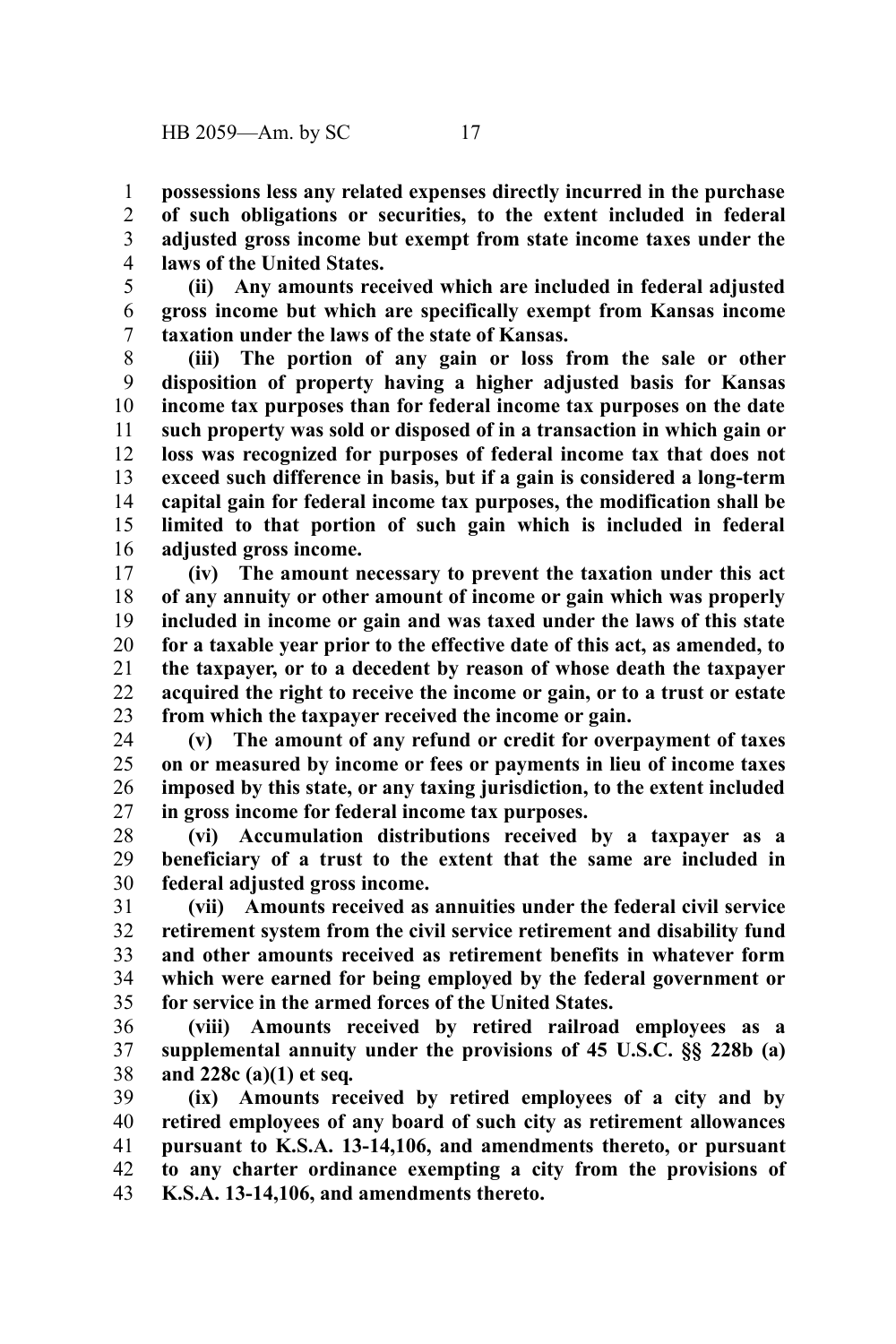**possessions less any related expenses directly incurred in the purchase of such obligations or securities, to the extent included in federal adjusted gross income but exempt from state income taxes under the laws of the United States.** 1 2 3 4

**(ii) Any amounts received which are included in federal adjusted gross income but which are specifically exempt from Kansas income taxation under the laws of the state of Kansas.** 5 6 7

**(iii) The portion of any gain or loss from the sale or other disposition of property having a higher adjusted basis for Kansas income tax purposes than for federal income tax purposes on the date such property was sold or disposed of in a transaction in which gain or loss was recognized for purposes of federal income tax that does not exceed such difference in basis, but if a gain is considered a long-term capital gain for federal income tax purposes, the modification shall be limited to that portion of such gain which is included in federal adjusted gross income.** 8 9 10 11 12 13 14 15 16

**(iv) The amount necessary to prevent the taxation under this act of any annuity or other amount of income or gain which was properly included in income or gain and was taxed under the laws of this state for a taxable year prior to the effective date of this act, as amended, to the taxpayer, or to a decedent by reason of whose death the taxpayer acquired the right to receive the income or gain, or to a trust or estate from which the taxpayer received the income or gain.** 17 18 19 20 21 22 23

**(v) The amount of any refund or credit for overpayment of taxes on or measured by income or fees or payments in lieu of income taxes imposed by this state, or any taxing jurisdiction, to the extent included in gross income for federal income tax purposes.** 24 25 26 27

**(vi) Accumulation distributions received by a taxpayer as a beneficiary of a trust to the extent that the same are included in federal adjusted gross income.** 28 29 30

**(vii) Amounts received as annuities under the federal civil service retirement system from the civil service retirement and disability fund and other amounts received as retirement benefits in whatever form which were earned for being employed by the federal government or for service in the armed forces of the United States.** 31 32 33 34 35

**(viii) Amounts received by retired railroad employees as a supplemental annuity under the provisions of 45 U.S.C. §§ 228b (a) and 228c (a)(1) et seq***.* 36 37 38

**(ix) Amounts received by retired employees of a city and by retired employees of any board of such city as retirement allowances pursuant to K.S.A. 13-14,106, and amendments thereto, or pursuant to any charter ordinance exempting a city from the provisions of K.S.A. 13-14,106, and amendments thereto.** 39 40 41 42 43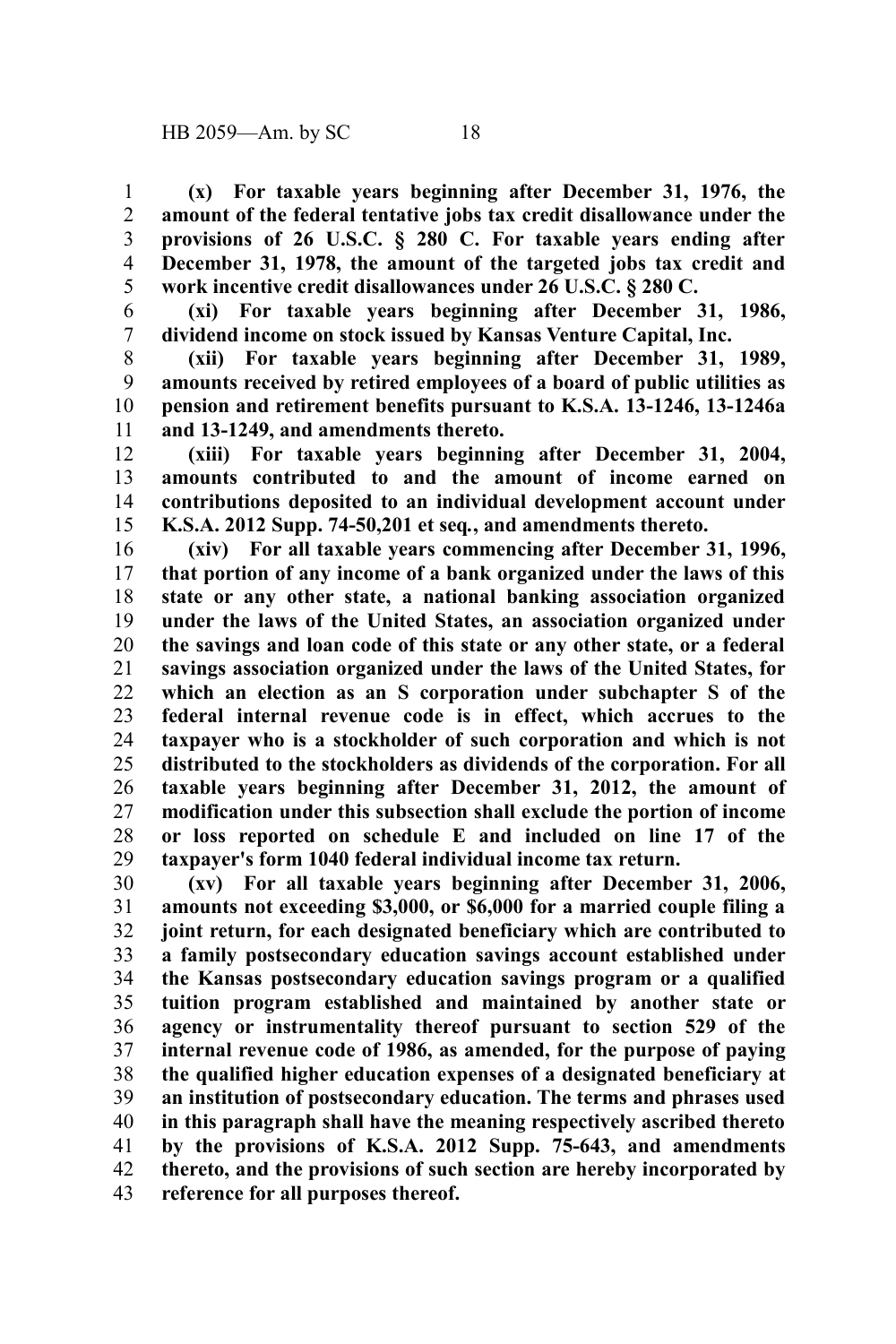**(x) For taxable years beginning after December 31, 1976, the amount of the federal tentative jobs tax credit disallowance under the provisions of 26 U.S.C. § 280 C. For taxable years ending after December 31, 1978, the amount of the targeted jobs tax credit and work incentive credit disallowances under 26 U.S.C. § 280 C.** 1 2 3 4 5

**(xi) For taxable years beginning after December 31, 1986, dividend income on stock issued by Kansas Venture Capital, Inc.** 6 7

**(xii) For taxable years beginning after December 31, 1989, amounts received by retired employees of a board of public utilities as pension and retirement benefits pursuant to K.S.A. 13-1246, 13-1246a and 13-1249, and amendments thereto.** 8 9 10 11

**(xiii) For taxable years beginning after December 31, 2004, amounts contributed to and the amount of income earned on contributions deposited to an individual development account under K.S.A. 2012 Supp. 74-50,201 et seq***.***, and amendments thereto.** 12 13 14 15

**(xiv) For all taxable years commencing after December 31, 1996, that portion of any income of a bank organized under the laws of this state or any other state, a national banking association organized under the laws of the United States, an association organized under the savings and loan code of this state or any other state, or a federal savings association organized under the laws of the United States, for which an election as an S corporation under subchapter S of the federal internal revenue code is in effect, which accrues to the taxpayer who is a stockholder of such corporation and which is not distributed to the stockholders as dividends of the corporation. For all taxable years beginning after December 31, 2012, the amount of modification under this subsection shall exclude the portion of income or loss reported on schedule E and included on line 17 of the taxpayer's form 1040 federal individual income tax return.** 16 17 18 19 20 21 22 23 24 25 26 27 28 29

**(xv) For all taxable years beginning after December 31, 2006, amounts not exceeding \$3,000, or \$6,000 for a married couple filing a joint return, for each designated beneficiary which are contributed to a family postsecondary education savings account established under the Kansas postsecondary education savings program or a qualified tuition program established and maintained by another state or agency or instrumentality thereof pursuant to section 529 of the internal revenue code of 1986, as amended, for the purpose of paying the qualified higher education expenses of a designated beneficiary at an institution of postsecondary education. The terms and phrases used in this paragraph shall have the meaning respectively ascribed thereto by the provisions of K.S.A. 2012 Supp. 75-643, and amendments thereto, and the provisions of such section are hereby incorporated by reference for all purposes thereof.** 30 31 32 33 34 35 36 37 38 39 40 41 42 43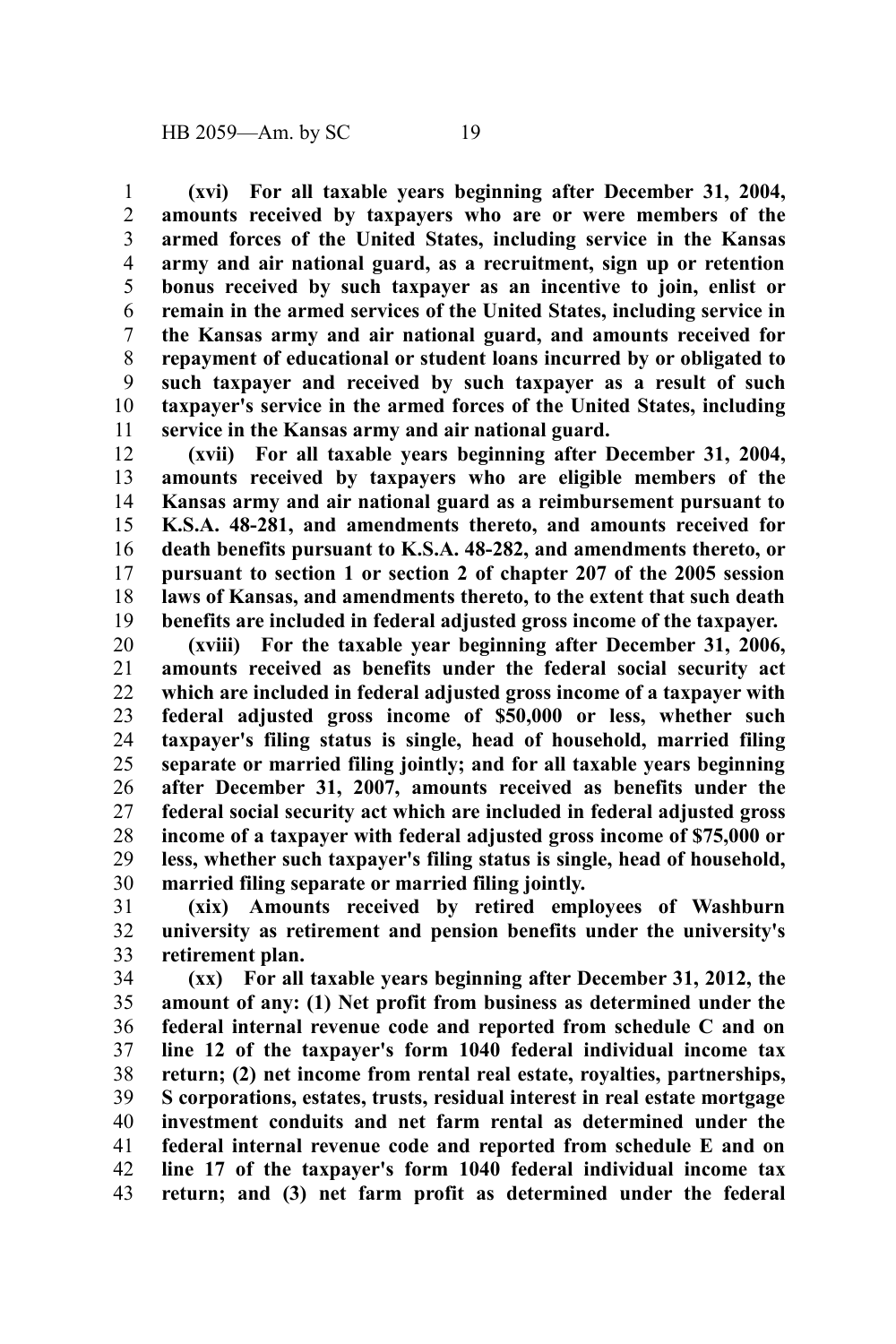**(xvi) For all taxable years beginning after December 31, 2004, amounts received by taxpayers who are or were members of the armed forces of the United States, including service in the Kansas army and air national guard, as a recruitment, sign up or retention bonus received by such taxpayer as an incentive to join, enlist or remain in the armed services of the United States, including service in the Kansas army and air national guard, and amounts received for repayment of educational or student loans incurred by or obligated to such taxpayer and received by such taxpayer as a result of such taxpayer's service in the armed forces of the United States, including service in the Kansas army and air national guard.** 1 2 3 4 5 6 7 8 9 10 11

**(xvii) For all taxable years beginning after December 31, 2004, amounts received by taxpayers who are eligible members of the Kansas army and air national guard as a reimbursement pursuant to K.S.A. 48-281, and amendments thereto, and amounts received for death benefits pursuant to K.S.A. 48-282, and amendments thereto, or pursuant to section 1 or section 2 of chapter 207 of the 2005 session laws of Kansas, and amendments thereto, to the extent that such death benefits are included in federal adjusted gross income of the taxpayer.** 12 13 14 15 16 17 18 19

**(xviii) For the taxable year beginning after December 31, 2006, amounts received as benefits under the federal social security act which are included in federal adjusted gross income of a taxpayer with federal adjusted gross income of \$50,000 or less, whether such taxpayer's filing status is single, head of household, married filing separate or married filing jointly; and for all taxable years beginning after December 31, 2007, amounts received as benefits under the federal social security act which are included in federal adjusted gross income of a taxpayer with federal adjusted gross income of \$75,000 or less, whether such taxpayer's filing status is single, head of household, married filing separate or married filing jointly.** 20 21 22 23 24 25 26 27 28 29 30

**(xix) Amounts received by retired employees of Washburn university as retirement and pension benefits under the university's retirement plan.** 31 32 33

**(xx) For all taxable years beginning after December 31, 2012, the amount of any: (1) Net profit from business as determined under the federal internal revenue code and reported from schedule C and on line 12 of the taxpayer's form 1040 federal individual income tax return; (2) net income from rental real estate, royalties, partnerships, S corporations, estates, trusts, residual interest in real estate mortgage investment conduits and net farm rental as determined under the federal internal revenue code and reported from schedule E and on line 17 of the taxpayer's form 1040 federal individual income tax return; and (3) net farm profit as determined under the federal** 34 35 36 37 38 39 40 41 42 43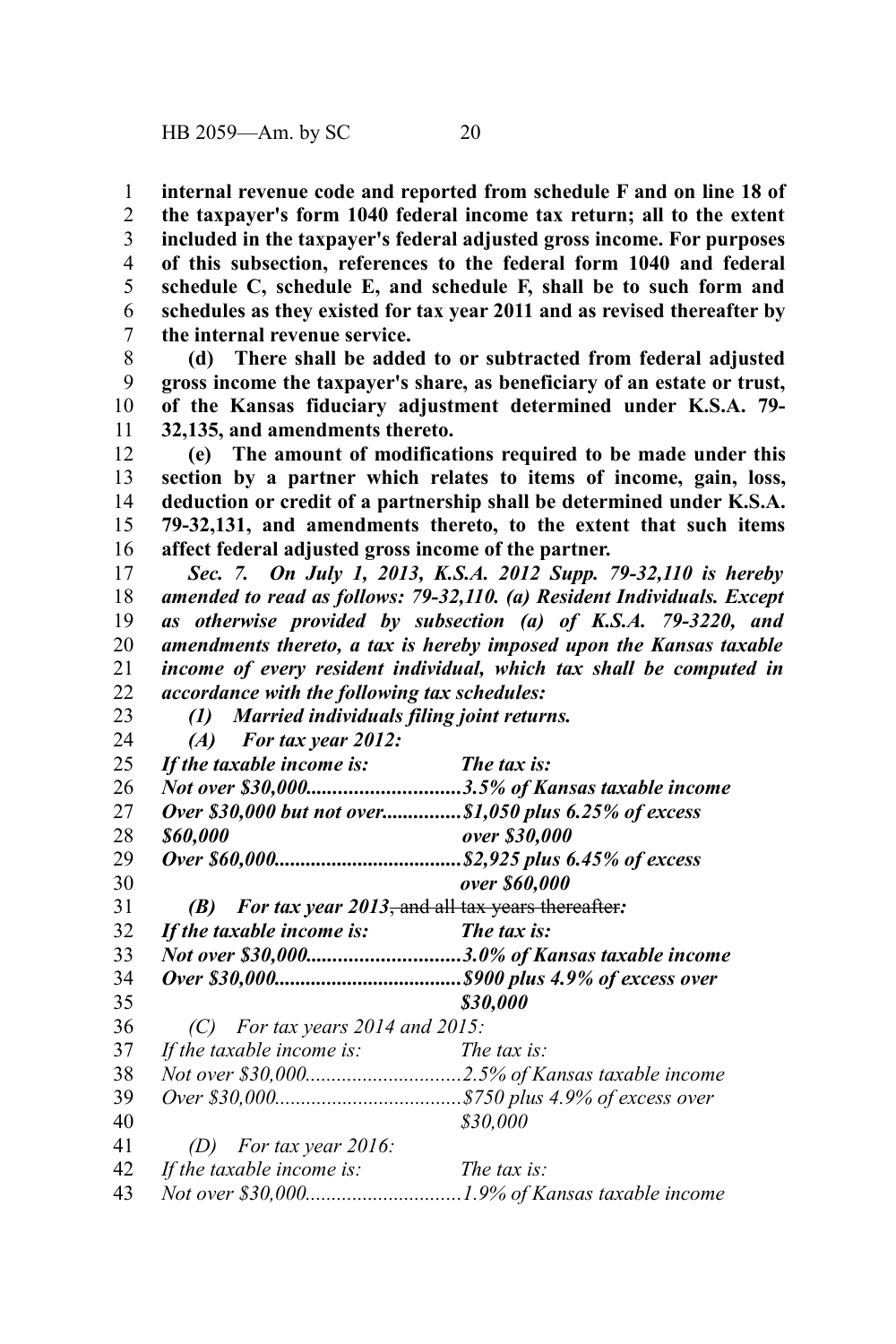**internal revenue code and reported from schedule F and on line 18 of the taxpayer's form 1040 federal income tax return; all to the extent included in the taxpayer's federal adjusted gross income. For purposes of this subsection, references to the federal form 1040 and federal schedule C, schedule E, and schedule F, shall be to such form and schedules as they existed for tax year 2011 and as revised thereafter by the internal revenue service.** 1 2 3 4 5 6 7

**(d) There shall be added to or subtracted from federal adjusted gross income the taxpayer's share, as beneficiary of an estate or trust, of the Kansas fiduciary adjustment determined under K.S.A. 79- 32,135, and amendments thereto.** 8 9 10 11

**(e) The amount of modifications required to be made under this section by a partner which relates to items of income, gain, loss, deduction or credit of a partnership shall be determined under K.S.A. 79-32,131, and amendments thereto, to the extent that such items affect federal adjusted gross income of the partner.** 12 13 14 15 16

*Sec. 7. On July 1, 2013, K.S.A. 2012 Supp. 79-32,110 is hereby amended to read as follows: 79-32,110. (a) Resident Individuals. Except as otherwise provided by subsection (a) of K.S.A. 79-3220, and amendments thereto, a tax is hereby imposed upon the Kansas taxable income of every resident individual, which tax shall be computed in accordance with the following tax schedules:* 17 18 19 20 21 22

| 23 | (1) Married individuals filing joint returns.           |                                                        |
|----|---------------------------------------------------------|--------------------------------------------------------|
| 24 | <b>For tax year 2012:</b><br>(A)                        |                                                        |
| 25 | If the taxable income is:                               | The tax is:                                            |
| 26 |                                                         | Not over \$30,0003.5% of Kansas taxable income         |
| 27 |                                                         | Over \$30,000 but not over\$1,050 plus 6.25% of excess |
| 28 | \$60,000                                                | over \$30,000                                          |
| 29 |                                                         |                                                        |
| 30 |                                                         | over \$60,000                                          |
| 31 | For tax year 2013, and all tax years thereafter:<br>(B) |                                                        |
| 32 | If the taxable income is:                               | The tax is:                                            |
| 33 |                                                         | Not over \$30,0003.0% of Kansas taxable income         |
| 34 |                                                         |                                                        |
| 35 |                                                         | \$30,000                                               |
| 36 | $(C)$ For tax years 2014 and 2015:                      |                                                        |
| 37 | If the taxable income is:                               | The tax is:                                            |
| 38 |                                                         |                                                        |
| 39 |                                                         |                                                        |
| 40 |                                                         | \$30,000                                               |
| 41 | For tax year 2016:<br>(D)                               |                                                        |
| 42 | If the taxable income is:                               | The tax is:                                            |
| 43 |                                                         |                                                        |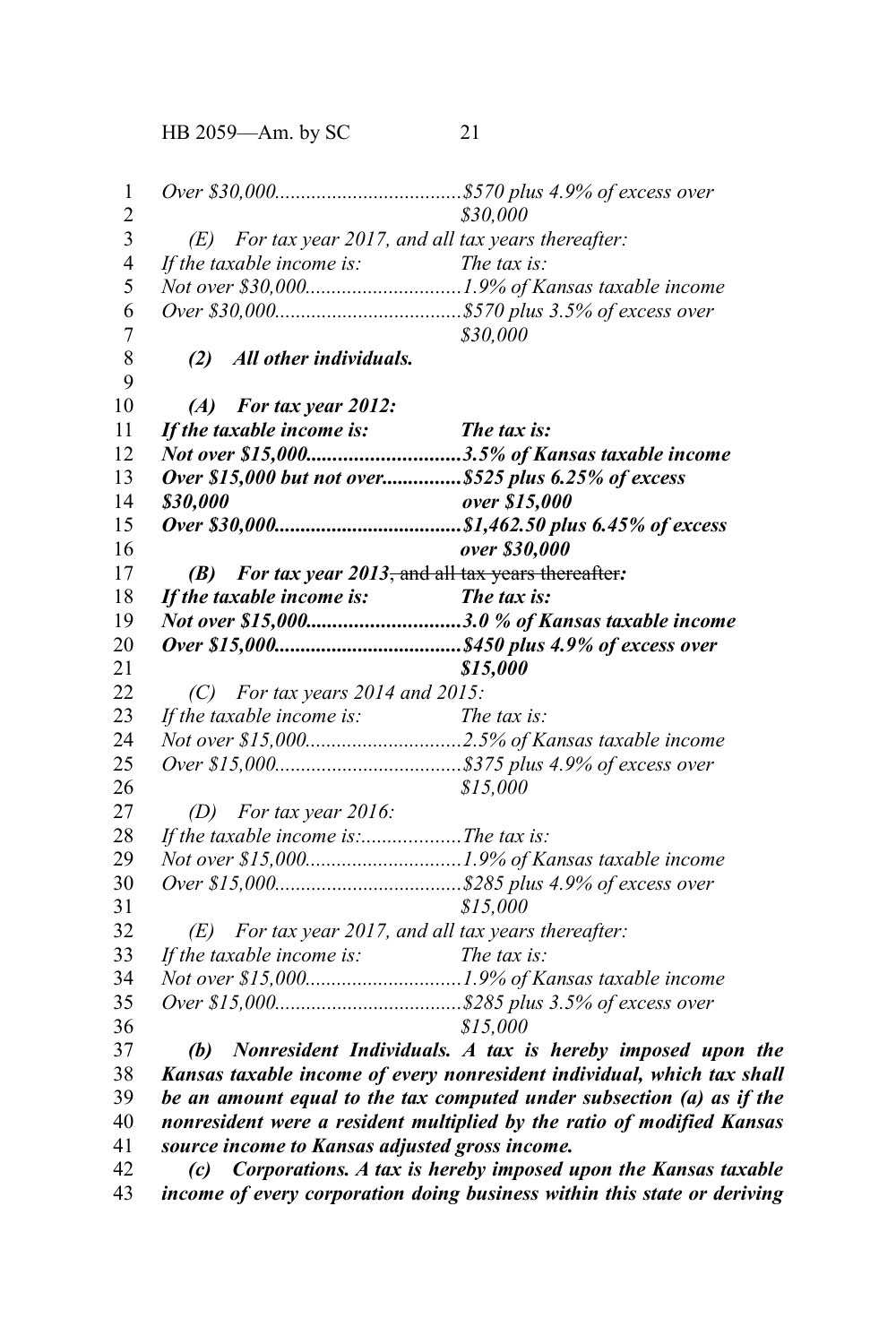HB 2059—Am. by SC 21

*Over \$30,000....................................\$570 plus 4.9% of excess over \$30,000 (E) For tax year 2017, and all tax years thereafter: If the taxable income is: The tax is: Not over \$30,000..............................1.9% of Kansas taxable income Over \$30,000....................................\$570 plus 3.5% of excess over \$30,000 (2) All other individuals. (A) For tax year 2012: If the taxable income is: The tax is: Not over \$15,000.............................3.5% of Kansas taxable income Over \$15,000 but not over...............\$525 plus 6.25% of excess \$30,000 over \$15,000 Over \$30,000....................................\$1,462.50 plus 6.45% of excess over \$30,000 (B) For tax year 2013*, and all tax years thereafter*: If the taxable income is: The tax is: Not over \$15,000.............................3.0 % of Kansas taxable income Over \$15,000....................................\$450 plus 4.9% of excess over \$15,000 (C) For tax years 2014 and 2015: If the taxable income is: The tax is: Not over \$15,000..............................2.5% of Kansas taxable income Over \$15,000....................................\$375 plus 4.9% of excess over \$15,000 (D) For tax year 2016: If the taxable income is:...................The tax is: Not over \$15,000..............................1.9% of Kansas taxable income Over \$15,000....................................\$285 plus 4.9% of excess over \$15,000 (E) For tax year 2017, and all tax years thereafter: If the taxable income is: The tax is: Not over \$15,000..............................1.9% of Kansas taxable income Over \$15,000....................................\$285 plus 3.5% of excess over \$15,000 (b) Nonresident Individuals. A tax is hereby imposed upon the Kansas taxable income of every nonresident individual, which tax shall be an amount equal to the tax computed under subsection (a) as if the nonresident were a resident multiplied by the ratio of modified Kansas source income to Kansas adjusted gross income. (c) Corporations. A tax is hereby imposed upon the Kansas taxable* 1 2 3 4 5 6 7 8 9 10 11 12 13 14 15 16 17 18 19 20 21 22 23 24 25 26 27 28 29 30 31 32 33 34 35 36 37 38 39 40 41 42

*income of every corporation doing business within this state or deriving* 43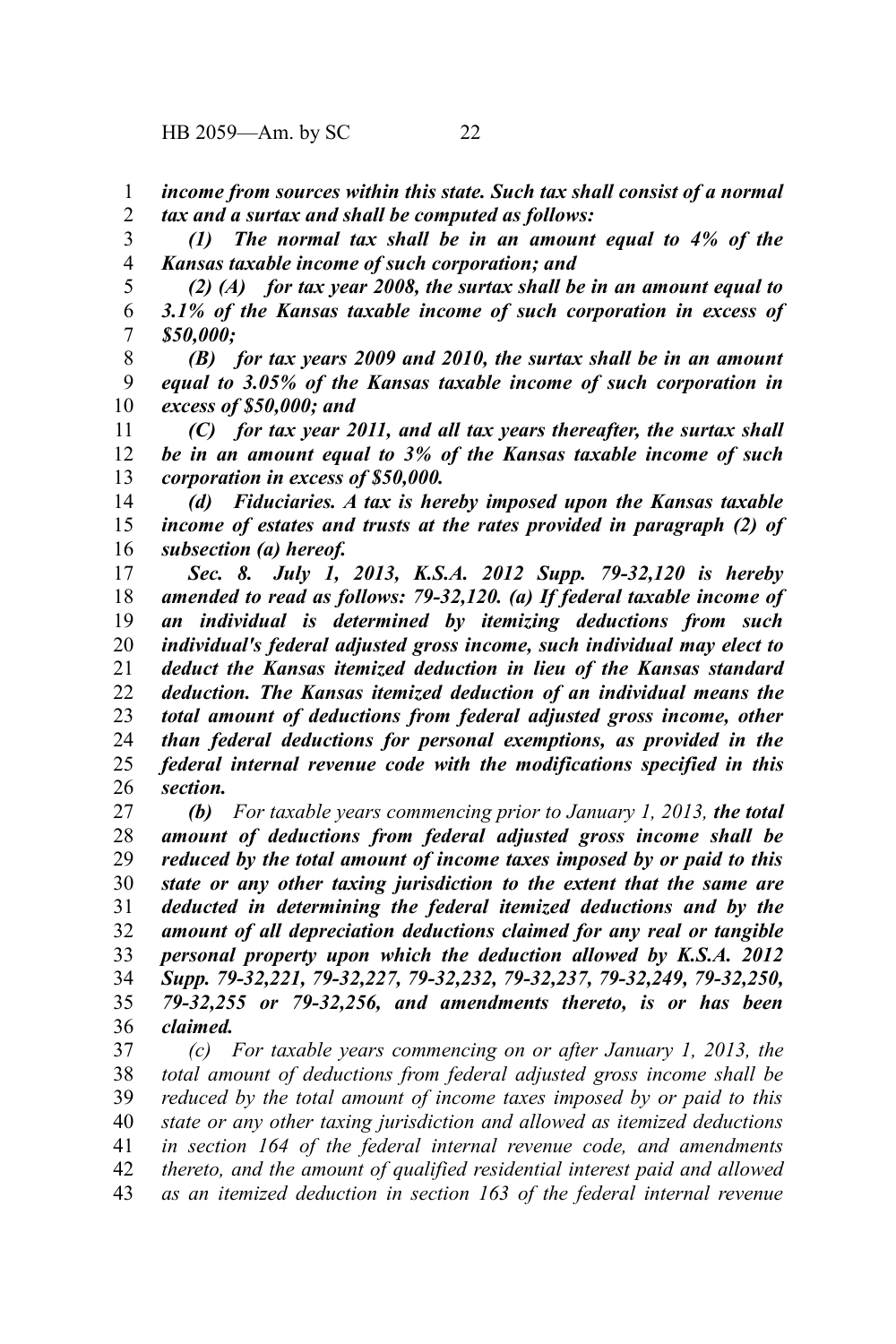*income from sources within this state. Such tax shall consist of a normal tax and a surtax and shall be computed as follows:* 1 2

*(1) The normal tax shall be in an amount equal to 4% of the Kansas taxable income of such corporation; and* 3 4

*(2) (A) for tax year 2008, the surtax shall be in an amount equal to 3.1% of the Kansas taxable income of such corporation in excess of \$50,000;* 5 6 7

*(B) for tax years 2009 and 2010, the surtax shall be in an amount equal to 3.05% of the Kansas taxable income of such corporation in excess of \$50,000; and* 8 9 10

*(C) for tax year 2011, and all tax years thereafter, the surtax shall be in an amount equal to 3% of the Kansas taxable income of such corporation in excess of \$50,000.* 11 12 13

*(d) Fiduciaries. A tax is hereby imposed upon the Kansas taxable income of estates and trusts at the rates provided in paragraph (2) of subsection (a) hereof.* 14 15 16

*Sec. 8. July 1, 2013, K.S.A. 2012 Supp. 79-32,120 is hereby amended to read as follows: 79-32,120. (a) If federal taxable income of an individual is determined by itemizing deductions from such individual's federal adjusted gross income, such individual may elect to deduct the Kansas itemized deduction in lieu of the Kansas standard deduction. The Kansas itemized deduction of an individual means the total amount of deductions from federal adjusted gross income, other than federal deductions for personal exemptions, as provided in the federal internal revenue code with the modifications specified in this section.* 17 18 19 20 21 22 23 24 25 26

*(b) For taxable years commencing prior to January 1, 2013, the total amount of deductions from federal adjusted gross income shall be reduced by the total amount of income taxes imposed by or paid to this state or any other taxing jurisdiction to the extent that the same are deducted in determining the federal itemized deductions and by the amount of all depreciation deductions claimed for any real or tangible personal property upon which the deduction allowed by K.S.A. 2012 Supp. 79-32,221, 79-32,227, 79-32,232, 79-32,237, 79-32,249, 79-32,250, 79-32,255 or 79-32,256, and amendments thereto, is or has been claimed.* 27 28 29 30 31 32 33 34 35 36

*(c) For taxable years commencing on or after January 1, 2013, the total amount of deductions from federal adjusted gross income shall be reduced by the total amount of income taxes imposed by or paid to this state or any other taxing jurisdiction and allowed as itemized deductions in section 164 of the federal internal revenue code, and amendments thereto, and the amount of qualified residential interest paid and allowed as an itemized deduction in section 163 of the federal internal revenue* 37 38 39 40 41 42 43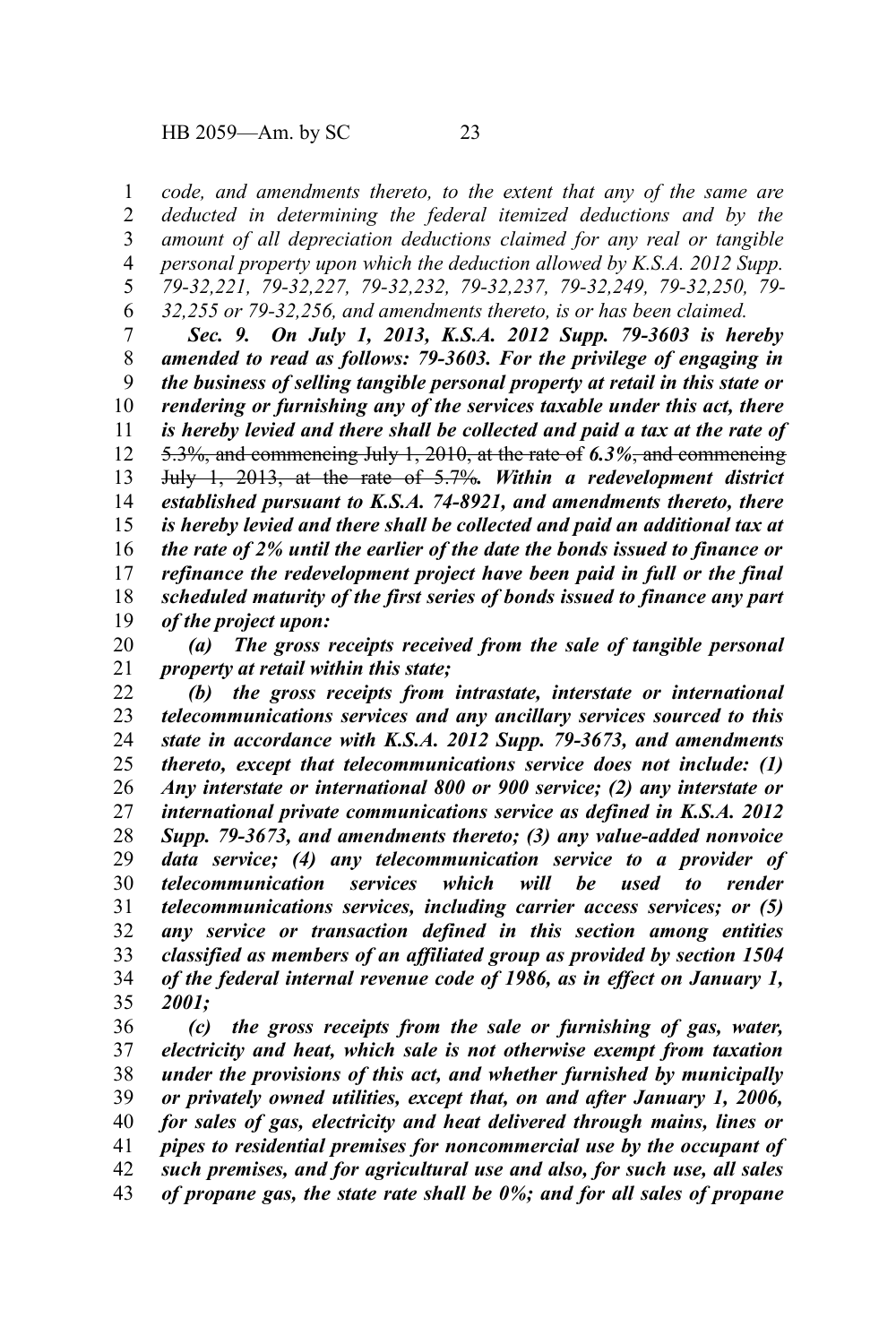*code, and amendments thereto, to the extent that any of the same are deducted in determining the federal itemized deductions and by the amount of all depreciation deductions claimed for any real or tangible personal property upon which the deduction allowed by K.S.A. 2012 Supp. 79-32,221, 79-32,227, 79-32,232, 79-32,237, 79-32,249, 79-32,250, 79- 32,255 or 79-32,256, and amendments thereto, is or has been claimed.* 1 2 3 4 5 6

*Sec. 9. On July 1, 2013, K.S.A. 2012 Supp. 79-3603 is hereby amended to read as follows: 79-3603. For the privilege of engaging in the business of selling tangible personal property at retail in this state or rendering or furnishing any of the services taxable under this act, there is hereby levied and there shall be collected and paid a tax at the rate of* 5.3%, and commencing July 1, 2010, at the rate of *6.3%*, and commencing July 1, 2013, at the rate of 5.7%*. Within a redevelopment district established pursuant to K.S.A. 74-8921, and amendments thereto, there is hereby levied and there shall be collected and paid an additional tax at the rate of 2% until the earlier of the date the bonds issued to finance or refinance the redevelopment project have been paid in full or the final scheduled maturity of the first series of bonds issued to finance any part of the project upon:* 7 8 9 10 11 12 13 14 15 16 17 18 19

*(a) The gross receipts received from the sale of tangible personal property at retail within this state;* 20 21

*(b) the gross receipts from intrastate, interstate or international telecommunications services and any ancillary services sourced to this state in accordance with K.S.A. 2012 Supp. 79-3673, and amendments thereto, except that telecommunications service does not include: (1) Any interstate or international 800 or 900 service; (2) any interstate or international private communications service as defined in K.S.A. 2012 Supp. 79-3673, and amendments thereto; (3) any value-added nonvoice data service; (4) any telecommunication service to a provider of telecommunication services which will be used to render telecommunications services, including carrier access services; or (5) any service or transaction defined in this section among entities classified as members of an affiliated group as provided by section 1504 of the federal internal revenue code of 1986, as in effect on January 1, 2001;* 22 23 24 25 26 27 28 29 30 31 32 33 34 35

*(c) the gross receipts from the sale or furnishing of gas, water, electricity and heat, which sale is not otherwise exempt from taxation under the provisions of this act, and whether furnished by municipally or privately owned utilities, except that, on and after January 1, 2006, for sales of gas, electricity and heat delivered through mains, lines or pipes to residential premises for noncommercial use by the occupant of such premises, and for agricultural use and also, for such use, all sales of propane gas, the state rate shall be 0%; and for all sales of propane* 36 37 38 39 40 41 42 43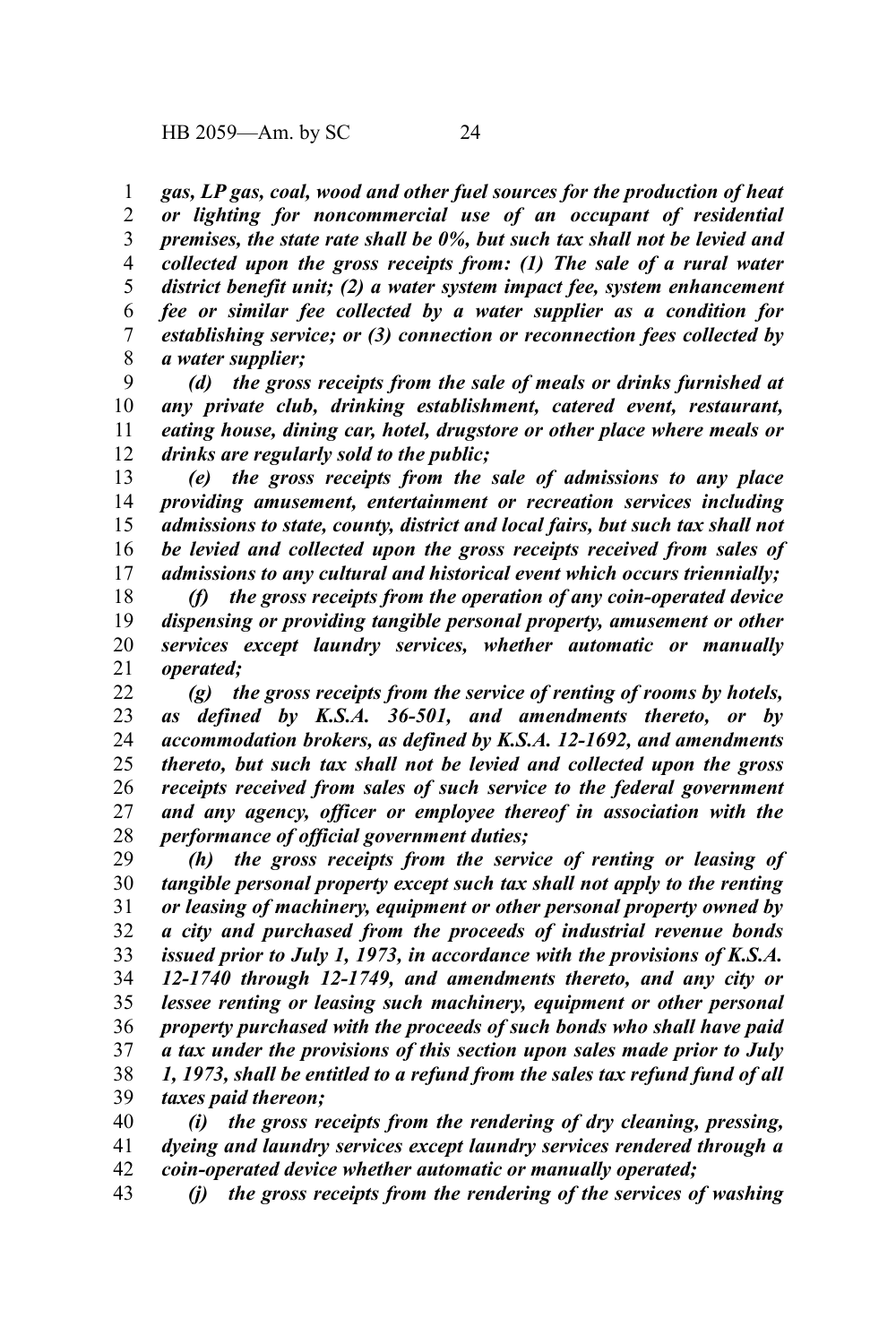*gas, LP gas, coal, wood and other fuel sources for the production of heat or lighting for noncommercial use of an occupant of residential premises, the state rate shall be 0%, but such tax shall not be levied and collected upon the gross receipts from: (1) The sale of a rural water district benefit unit; (2) a water system impact fee, system enhancement fee or similar fee collected by a water supplier as a condition for establishing service; or (3) connection or reconnection fees collected by a water supplier;* 1 2 3 4 5 6 7 8

*(d) the gross receipts from the sale of meals or drinks furnished at any private club, drinking establishment, catered event, restaurant, eating house, dining car, hotel, drugstore or other place where meals or drinks are regularly sold to the public;* 9 10 11 12

*(e) the gross receipts from the sale of admissions to any place providing amusement, entertainment or recreation services including admissions to state, county, district and local fairs, but such tax shall not be levied and collected upon the gross receipts received from sales of admissions to any cultural and historical event which occurs triennially;* 13 14 15 16 17

*(f) the gross receipts from the operation of any coin-operated device dispensing or providing tangible personal property, amusement or other services except laundry services, whether automatic or manually operated;* 18 19 20 21

*(g) the gross receipts from the service of renting of rooms by hotels, as defined by K.S.A. 36-501, and amendments thereto, or by accommodation brokers, as defined by K.S.A. 12-1692, and amendments thereto, but such tax shall not be levied and collected upon the gross receipts received from sales of such service to the federal government and any agency, officer or employee thereof in association with the performance of official government duties;* 22 23 24 25 26 27 28

*(h) the gross receipts from the service of renting or leasing of tangible personal property except such tax shall not apply to the renting or leasing of machinery, equipment or other personal property owned by a city and purchased from the proceeds of industrial revenue bonds issued prior to July 1, 1973, in accordance with the provisions of K.S.A. 12-1740 through 12-1749, and amendments thereto, and any city or lessee renting or leasing such machinery, equipment or other personal property purchased with the proceeds of such bonds who shall have paid a tax under the provisions of this section upon sales made prior to July 1, 1973, shall be entitled to a refund from the sales tax refund fund of all taxes paid thereon;* 29 30 31 32 33 34 35 36 37 38 39

*(i) the gross receipts from the rendering of dry cleaning, pressing, dyeing and laundry services except laundry services rendered through a coin-operated device whether automatic or manually operated;* 40 41 42

*(j) the gross receipts from the rendering of the services of washing* 43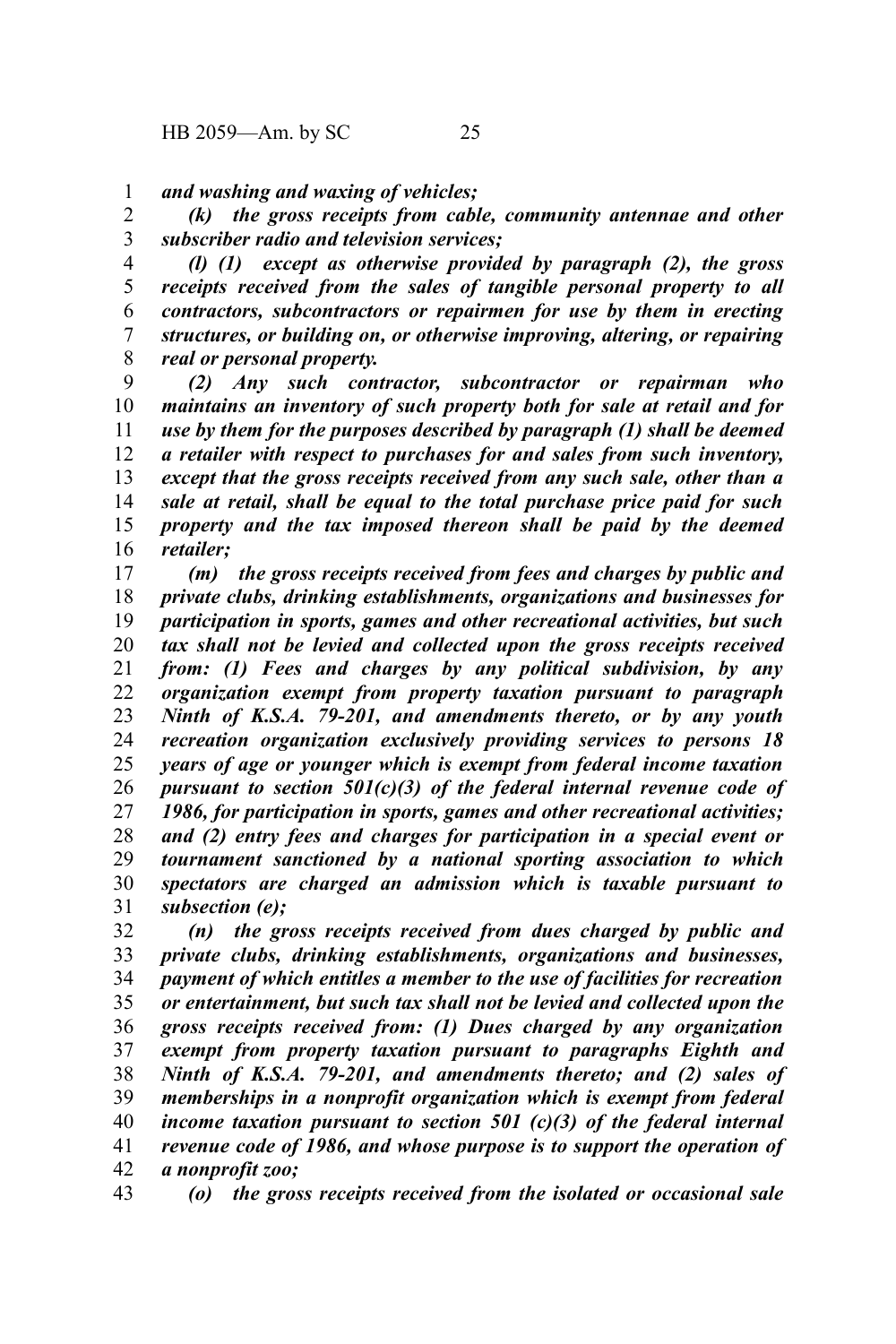*and washing and waxing of vehicles;* 1

*(k) the gross receipts from cable, community antennae and other subscriber radio and television services;* 2 3

*(l) (1) except as otherwise provided by paragraph (2), the gross receipts received from the sales of tangible personal property to all contractors, subcontractors or repairmen for use by them in erecting structures, or building on, or otherwise improving, altering, or repairing real or personal property.* 4 5 6 7 8

*(2) Any such contractor, subcontractor or repairman who maintains an inventory of such property both for sale at retail and for use by them for the purposes described by paragraph (1) shall be deemed a retailer with respect to purchases for and sales from such inventory, except that the gross receipts received from any such sale, other than a sale at retail, shall be equal to the total purchase price paid for such property and the tax imposed thereon shall be paid by the deemed retailer;* 9 10 11 12 13 14 15 16

*(m) the gross receipts received from fees and charges by public and private clubs, drinking establishments, organizations and businesses for participation in sports, games and other recreational activities, but such tax shall not be levied and collected upon the gross receipts received from: (1) Fees and charges by any political subdivision, by any organization exempt from property taxation pursuant to paragraph Ninth of K.S.A. 79-201, and amendments thereto, or by any youth recreation organization exclusively providing services to persons 18 years of age or younger which is exempt from federal income taxation pursuant to section 501(c)(3) of the federal internal revenue code of 1986, for participation in sports, games and other recreational activities; and (2) entry fees and charges for participation in a special event or tournament sanctioned by a national sporting association to which spectators are charged an admission which is taxable pursuant to subsection (e);* 17 18 19 20 21 22 23 24 25 26 27 28 29 30 31

*(n) the gross receipts received from dues charged by public and private clubs, drinking establishments, organizations and businesses, payment of which entitles a member to the use of facilities for recreation or entertainment, but such tax shall not be levied and collected upon the gross receipts received from: (1) Dues charged by any organization exempt from property taxation pursuant to paragraphs Eighth and Ninth of K.S.A. 79-201, and amendments thereto; and (2) sales of memberships in a nonprofit organization which is exempt from federal income taxation pursuant to section 501 (c)(3) of the federal internal revenue code of 1986, and whose purpose is to support the operation of a nonprofit zoo;* 32 33 34 35 36 37 38 39 40 41 42

*(o) the gross receipts received from the isolated or occasional sale* 43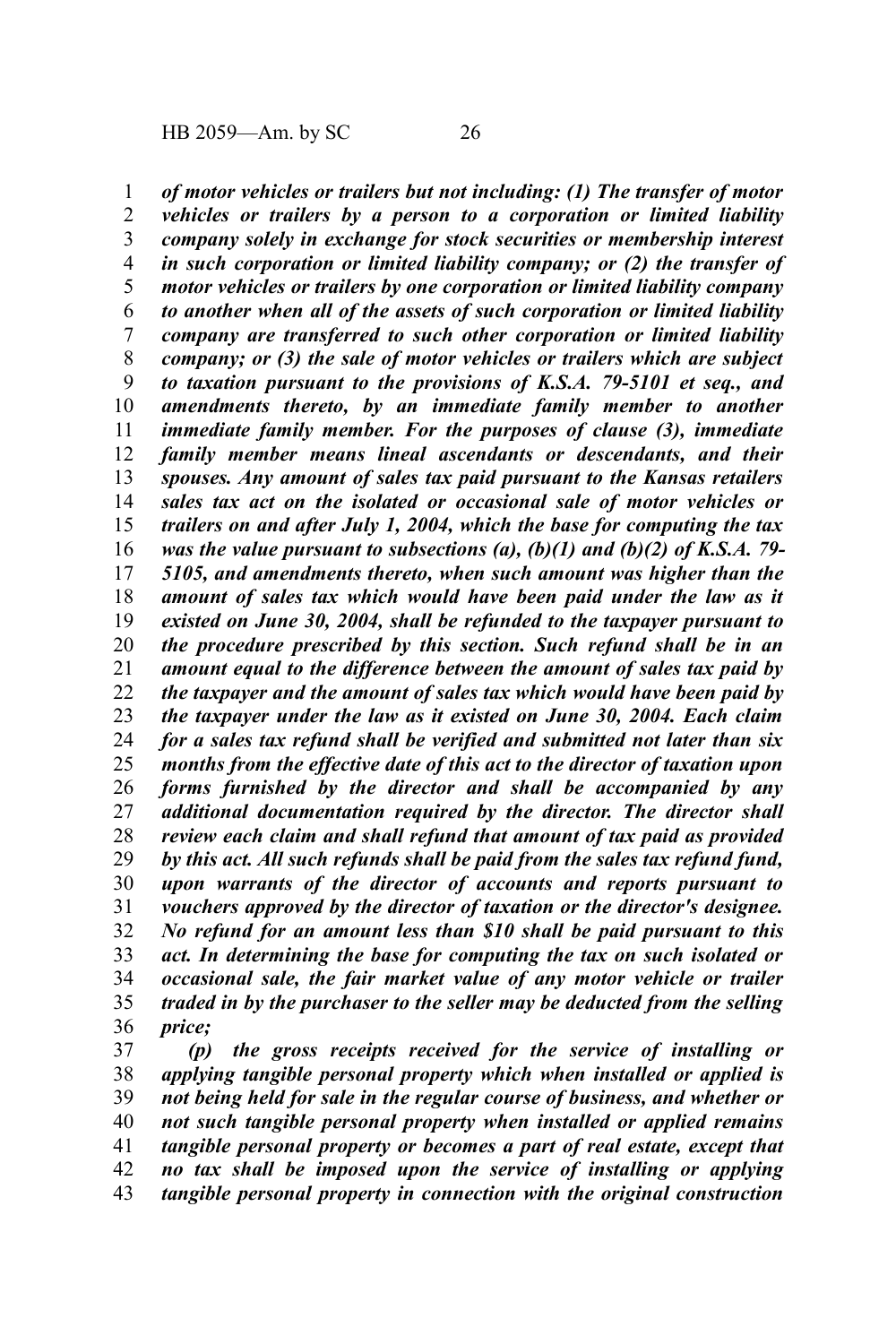*of motor vehicles or trailers but not including: (1) The transfer of motor vehicles or trailers by a person to a corporation or limited liability company solely in exchange for stock securities or membership interest in such corporation or limited liability company; or (2) the transfer of motor vehicles or trailers by one corporation or limited liability company to another when all of the assets of such corporation or limited liability company are transferred to such other corporation or limited liability company; or (3) the sale of motor vehicles or trailers which are subject to taxation pursuant to the provisions of K.S.A. 79-5101 et seq., and amendments thereto, by an immediate family member to another immediate family member. For the purposes of clause (3), immediate family member means lineal ascendants or descendants, and their spouses. Any amount of sales tax paid pursuant to the Kansas retailers sales tax act on the isolated or occasional sale of motor vehicles or trailers on and after July 1, 2004, which the base for computing the tax was the value pursuant to subsections (a), (b)(1) and (b)(2) of K.S.A. 79- 5105, and amendments thereto, when such amount was higher than the amount of sales tax which would have been paid under the law as it existed on June 30, 2004, shall be refunded to the taxpayer pursuant to the procedure prescribed by this section. Such refund shall be in an amount equal to the difference between the amount of sales tax paid by the taxpayer and the amount of sales tax which would have been paid by the taxpayer under the law as it existed on June 30, 2004. Each claim for a sales tax refund shall be verified and submitted not later than six months from the effective date of this act to the director of taxation upon forms furnished by the director and shall be accompanied by any additional documentation required by the director. The director shall review each claim and shall refund that amount of tax paid as provided by this act. All such refunds shall be paid from the sales tax refund fund, upon warrants of the director of accounts and reports pursuant to vouchers approved by the director of taxation or the director's designee. No refund for an amount less than \$10 shall be paid pursuant to this act. In determining the base for computing the tax on such isolated or occasional sale, the fair market value of any motor vehicle or trailer traded in by the purchaser to the seller may be deducted from the selling price;* 1 2 3 4 5 6 7 8 9 10 11 12 13 14 15 16 17 18 19 20 21 22 23 24 25 26 27 28 29 30 31 32 33 34 35 36

*(p) the gross receipts received for the service of installing or applying tangible personal property which when installed or applied is not being held for sale in the regular course of business, and whether or not such tangible personal property when installed or applied remains tangible personal property or becomes a part of real estate, except that no tax shall be imposed upon the service of installing or applying tangible personal property in connection with the original construction* 37 38 39 40 41 42 43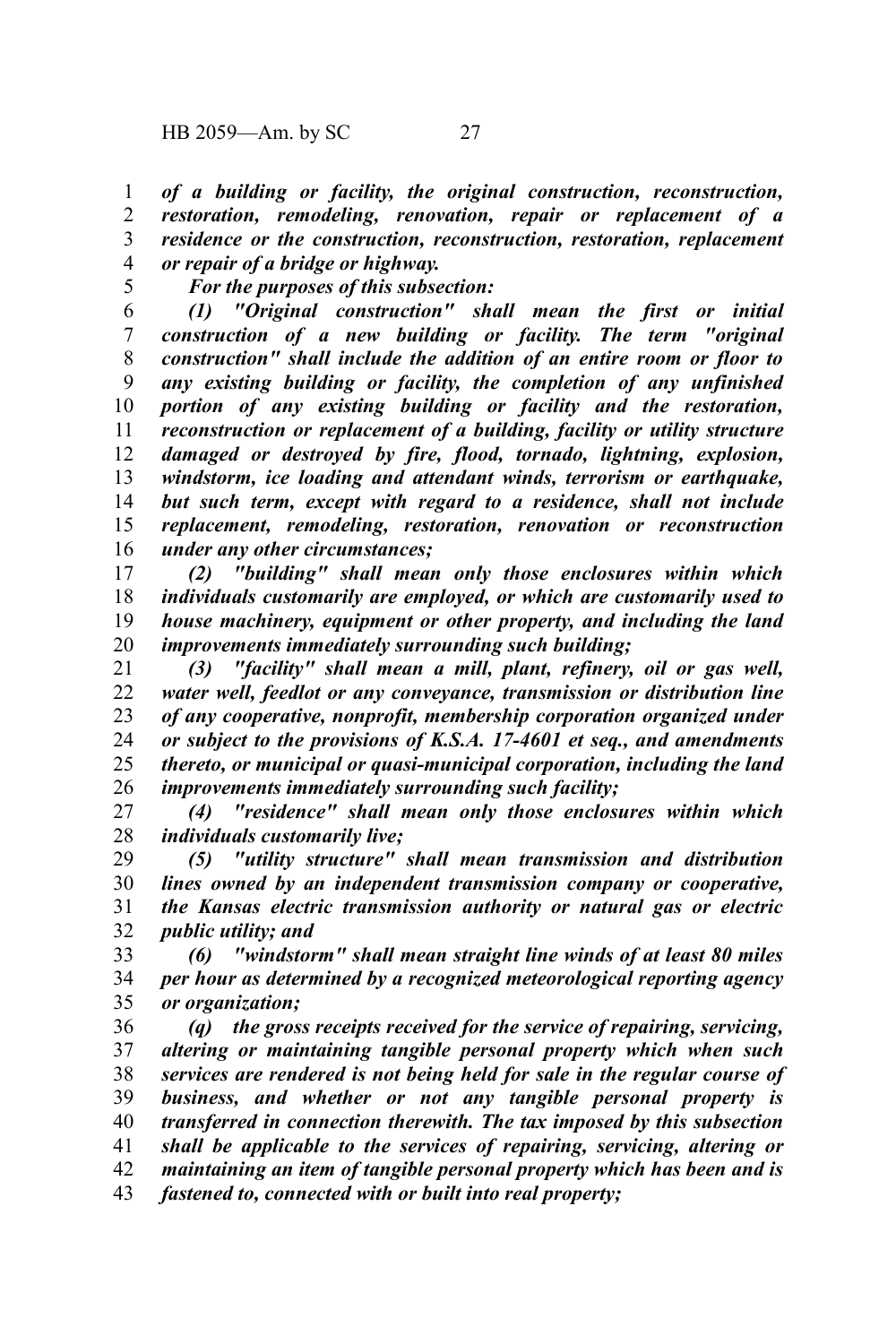*of a building or facility, the original construction, reconstruction, restoration, remodeling, renovation, repair or replacement of a residence or the construction, reconstruction, restoration, replacement or repair of a bridge or highway.* 1 2 3 4

5

*For the purposes of this subsection:*

*(1) "Original construction" shall mean the first or initial construction of a new building or facility. The term "original construction" shall include the addition of an entire room or floor to any existing building or facility, the completion of any unfinished portion of any existing building or facility and the restoration, reconstruction or replacement of a building, facility or utility structure damaged or destroyed by fire, flood, tornado, lightning, explosion, windstorm, ice loading and attendant winds, terrorism or earthquake, but such term, except with regard to a residence, shall not include replacement, remodeling, restoration, renovation or reconstruction under any other circumstances;* 6 7 8 9 10 11 12 13 14 15 16

*(2) "building" shall mean only those enclosures within which individuals customarily are employed, or which are customarily used to house machinery, equipment or other property, and including the land improvements immediately surrounding such building;* 17 18 19 20

*(3) "facility" shall mean a mill, plant, refinery, oil or gas well, water well, feedlot or any conveyance, transmission or distribution line of any cooperative, nonprofit, membership corporation organized under or subject to the provisions of K.S.A. 17-4601 et seq., and amendments thereto, or municipal or quasi-municipal corporation, including the land improvements immediately surrounding such facility;* 21 22 23 24 25 26

*(4) "residence" shall mean only those enclosures within which individuals customarily live;* 27 28

*(5) "utility structure" shall mean transmission and distribution lines owned by an independent transmission company or cooperative, the Kansas electric transmission authority or natural gas or electric public utility; and* 29 30 31 32

*(6) "windstorm" shall mean straight line winds of at least 80 miles per hour as determined by a recognized meteorological reporting agency or organization;* 33 34 35

*(q) the gross receipts received for the service of repairing, servicing, altering or maintaining tangible personal property which when such services are rendered is not being held for sale in the regular course of business, and whether or not any tangible personal property is transferred in connection therewith. The tax imposed by this subsection shall be applicable to the services of repairing, servicing, altering or maintaining an item of tangible personal property which has been and is fastened to, connected with or built into real property;* 36 37 38 39 40 41 42 43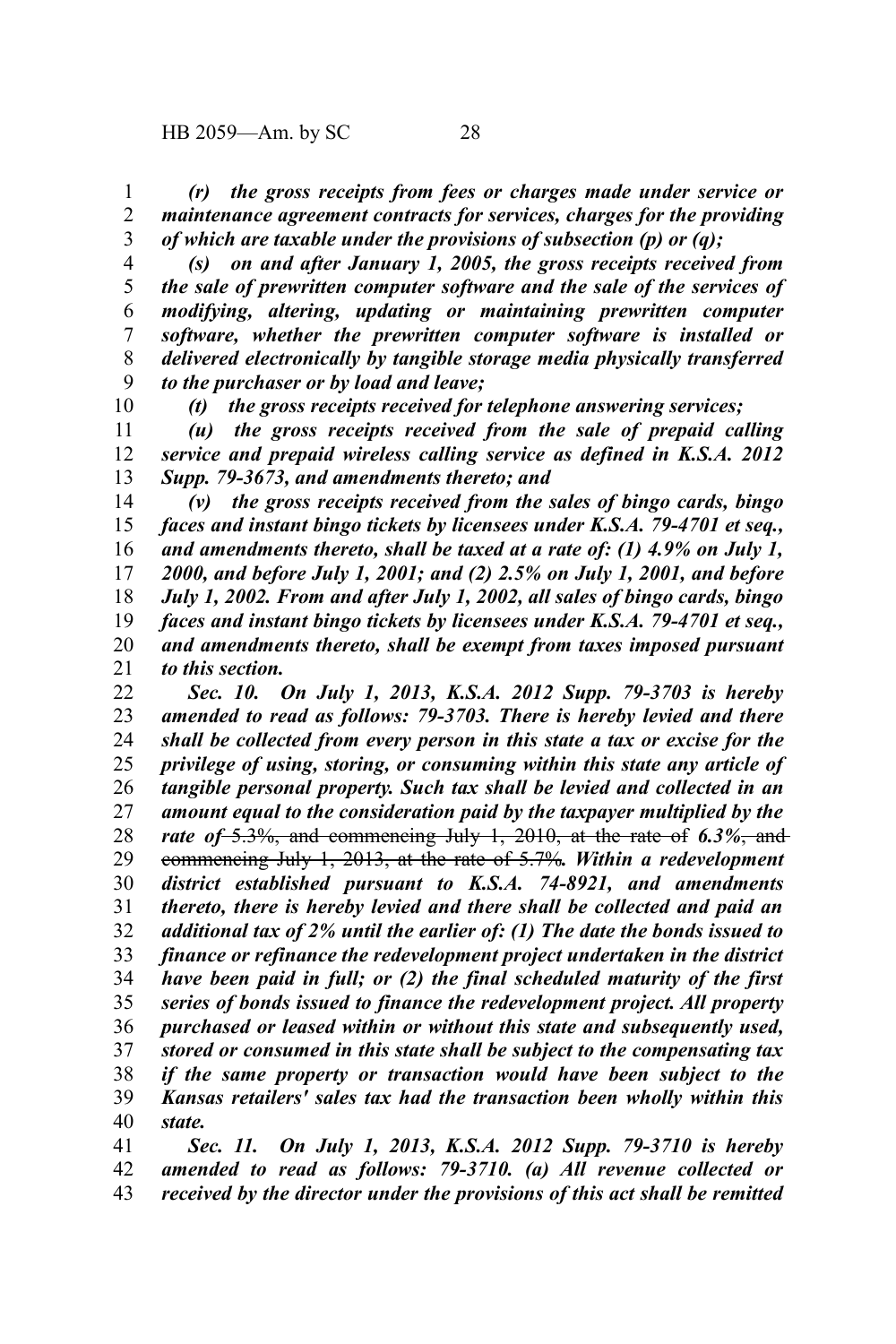10

*(r) the gross receipts from fees or charges made under service or maintenance agreement contracts for services, charges for the providing of which are taxable under the provisions of subsection (p) or (q);* 1 2 3

*(s) on and after January 1, 2005, the gross receipts received from the sale of prewritten computer software and the sale of the services of modifying, altering, updating or maintaining prewritten computer software, whether the prewritten computer software is installed or delivered electronically by tangible storage media physically transferred to the purchaser or by load and leave;* 4 5 6 7 8 9

*(t) the gross receipts received for telephone answering services;*

*(u) the gross receipts received from the sale of prepaid calling service and prepaid wireless calling service as defined in K.S.A. 2012 Supp. 79-3673, and amendments thereto; and* 11 12 13

*(v) the gross receipts received from the sales of bingo cards, bingo faces and instant bingo tickets by licensees under K.S.A. 79-4701 et seq., and amendments thereto, shall be taxed at a rate of: (1) 4.9% on July 1, 2000, and before July 1, 2001; and (2) 2.5% on July 1, 2001, and before July 1, 2002. From and after July 1, 2002, all sales of bingo cards, bingo faces and instant bingo tickets by licensees under K.S.A. 79-4701 et seq., and amendments thereto, shall be exempt from taxes imposed pursuant to this section.* 14 15 16 17 18 19 20 21

*Sec. 10. On July 1, 2013, K.S.A. 2012 Supp. 79-3703 is hereby amended to read as follows: 79-3703. There is hereby levied and there shall be collected from every person in this state a tax or excise for the privilege of using, storing, or consuming within this state any article of tangible personal property. Such tax shall be levied and collected in an amount equal to the consideration paid by the taxpayer multiplied by the rate of* 5.3%, and commencing July 1, 2010, at the rate of *6.3%*, and commencing July 1, 2013, at the rate of 5.7%*. Within a redevelopment district established pursuant to K.S.A. 74-8921, and amendments thereto, there is hereby levied and there shall be collected and paid an additional tax of 2% until the earlier of: (1) The date the bonds issued to finance or refinance the redevelopment project undertaken in the district have been paid in full; or (2) the final scheduled maturity of the first series of bonds issued to finance the redevelopment project. All property purchased or leased within or without this state and subsequently used, stored or consumed in this state shall be subject to the compensating tax if the same property or transaction would have been subject to the Kansas retailers' sales tax had the transaction been wholly within this state.* 22 23 24 25 26 27 28 29 30 31 32 33 34 35 36 37 38 39 40

*Sec. 11. On July 1, 2013, K.S.A. 2012 Supp. 79-3710 is hereby amended to read as follows: 79-3710. (a) All revenue collected or received by the director under the provisions of this act shall be remitted* 41 42 43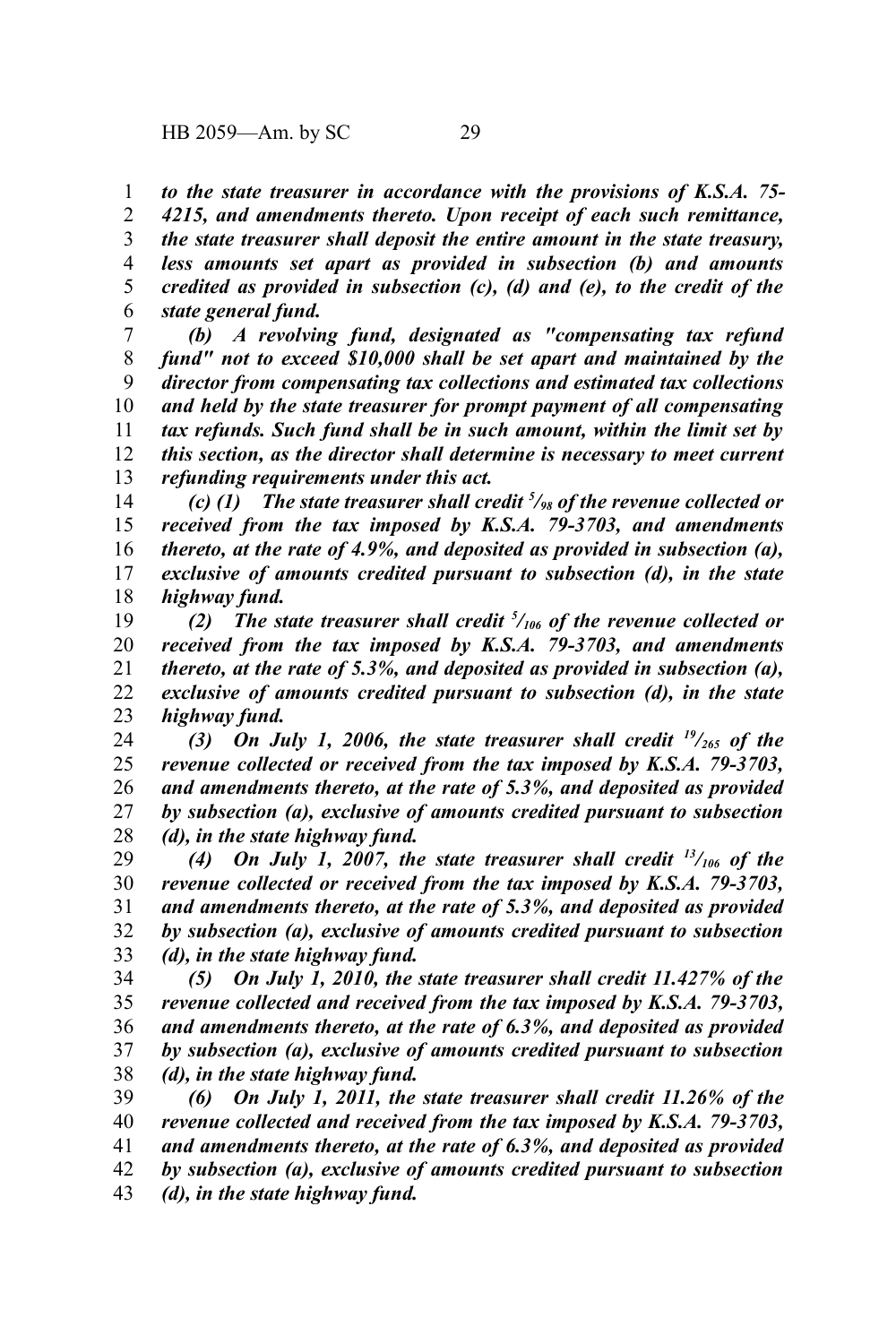*to the state treasurer in accordance with the provisions of K.S.A. 75- 4215, and amendments thereto. Upon receipt of each such remittance, the state treasurer shall deposit the entire amount in the state treasury, less amounts set apart as provided in subsection (b) and amounts credited as provided in subsection (c), (d) and (e), to the credit of the state general fund.* 1 2 3 4 5 6

*(b) A revolving fund, designated as "compensating tax refund fund" not to exceed \$10,000 shall be set apart and maintained by the director from compensating tax collections and estimated tax collections and held by the state treasurer for prompt payment of all compensating tax refunds. Such fund shall be in such amount, within the limit set by this section, as the director shall determine is necessary to meet current refunding requirements under this act.* 7 8 9 10 11 12 13

*(c) (1) The state treasurer shall credit <sup>5</sup> /98 of the revenue collected or received from the tax imposed by K.S.A. 79-3703, and amendments thereto, at the rate of 4.9%, and deposited as provided in subsection (a), exclusive of amounts credited pursuant to subsection (d), in the state highway fund.* 14 15 16 17 18

*(2) The state treasurer shall credit <sup>5</sup> /106 of the revenue collected or received from the tax imposed by K.S.A. 79-3703, and amendments thereto, at the rate of 5.3%, and deposited as provided in subsection (a), exclusive of amounts credited pursuant to subsection (d), in the state highway fund.* 19 20 21 22 23

*(3) On July 1, 2006, the state treasurer shall credit <sup>19</sup>/265 of the revenue collected or received from the tax imposed by K.S.A. 79-3703, and amendments thereto, at the rate of 5.3%, and deposited as provided by subsection (a), exclusive of amounts credited pursuant to subsection (d), in the state highway fund.* 24 25 26 27 28

*(4) On July 1, 2007, the state treasurer shall credit <sup>13</sup>/106 of the revenue collected or received from the tax imposed by K.S.A. 79-3703, and amendments thereto, at the rate of 5.3%, and deposited as provided by subsection (a), exclusive of amounts credited pursuant to subsection (d), in the state highway fund.* 29 30 31 32 33

*(5) On July 1, 2010, the state treasurer shall credit 11.427% of the revenue collected and received from the tax imposed by K.S.A. 79-3703, and amendments thereto, at the rate of 6.3%, and deposited as provided by subsection (a), exclusive of amounts credited pursuant to subsection (d), in the state highway fund.* 34 35 36 37 38

*(6) On July 1, 2011, the state treasurer shall credit 11.26% of the revenue collected and received from the tax imposed by K.S.A. 79-3703, and amendments thereto, at the rate of 6.3%, and deposited as provided by subsection (a), exclusive of amounts credited pursuant to subsection (d), in the state highway fund.* 39 40 41 42 43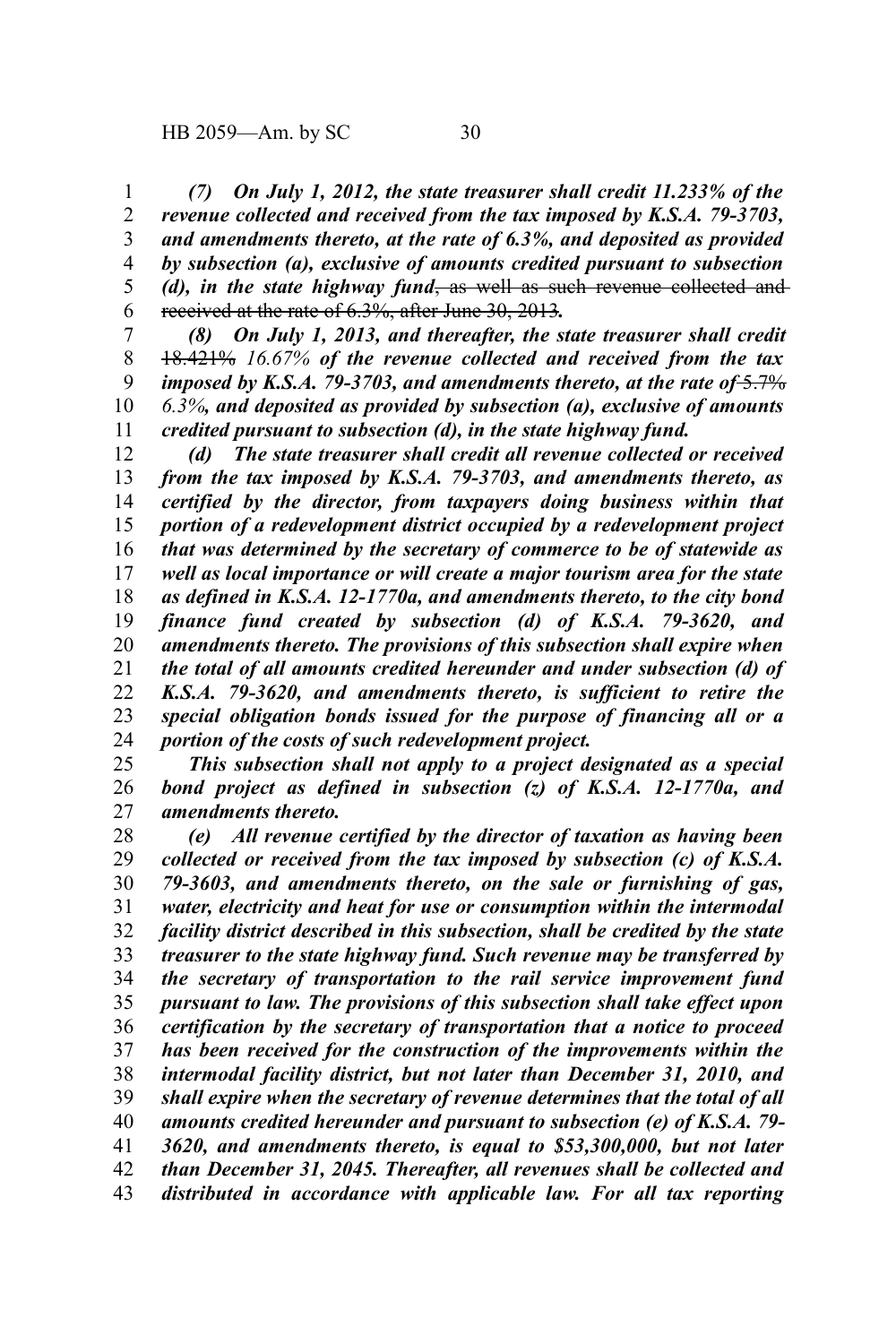*(7) On July 1, 2012, the state treasurer shall credit 11.233% of the revenue collected and received from the tax imposed by K.S.A. 79-3703, and amendments thereto, at the rate of 6.3%, and deposited as provided by subsection (a), exclusive of amounts credited pursuant to subsection (d), in the state highway fund*, as well as such revenue collected and received at the rate of 6.3%, after June 30, 2013*.* 1 2 3 4 5 6

*(8) On July 1, 2013, and thereafter, the state treasurer shall credit* 18.421% *16.67% of the revenue collected and received from the tax imposed by K.S.A. 79-3703, and amendments thereto, at the rate of*  $\frac{5.7\%}{2}$ *6.3%, and deposited as provided by subsection (a), exclusive of amounts credited pursuant to subsection (d), in the state highway fund.* 7 8 9 10 11

*(d) The state treasurer shall credit all revenue collected or received from the tax imposed by K.S.A. 79-3703, and amendments thereto, as certified by the director, from taxpayers doing business within that portion of a redevelopment district occupied by a redevelopment project that was determined by the secretary of commerce to be of statewide as well as local importance or will create a major tourism area for the state as defined in K.S.A. 12-1770a, and amendments thereto, to the city bond finance fund created by subsection (d) of K.S.A. 79-3620, and amendments thereto. The provisions of this subsection shall expire when the total of all amounts credited hereunder and under subsection (d) of K.S.A. 79-3620, and amendments thereto, is sufficient to retire the special obligation bonds issued for the purpose of financing all or a portion of the costs of such redevelopment project.* 12 13 14 15 16 17 18 19 20 21 22 23 24

*This subsection shall not apply to a project designated as a special bond project as defined in subsection (z) of K.S.A. 12-1770a, and amendments thereto.* 25 26 27

*(e) All revenue certified by the director of taxation as having been collected or received from the tax imposed by subsection (c) of K.S.A. 79-3603, and amendments thereto, on the sale or furnishing of gas, water, electricity and heat for use or consumption within the intermodal facility district described in this subsection, shall be credited by the state treasurer to the state highway fund. Such revenue may be transferred by the secretary of transportation to the rail service improvement fund pursuant to law. The provisions of this subsection shall take effect upon certification by the secretary of transportation that a notice to proceed has been received for the construction of the improvements within the intermodal facility district, but not later than December 31, 2010, and shall expire when the secretary of revenue determines that the total of all amounts credited hereunder and pursuant to subsection (e) of K.S.A. 79- 3620, and amendments thereto, is equal to \$53,300,000, but not later than December 31, 2045. Thereafter, all revenues shall be collected and distributed in accordance with applicable law. For all tax reporting* 28 29 30 31 32 33 34 35 36 37 38 39 40 41 42 43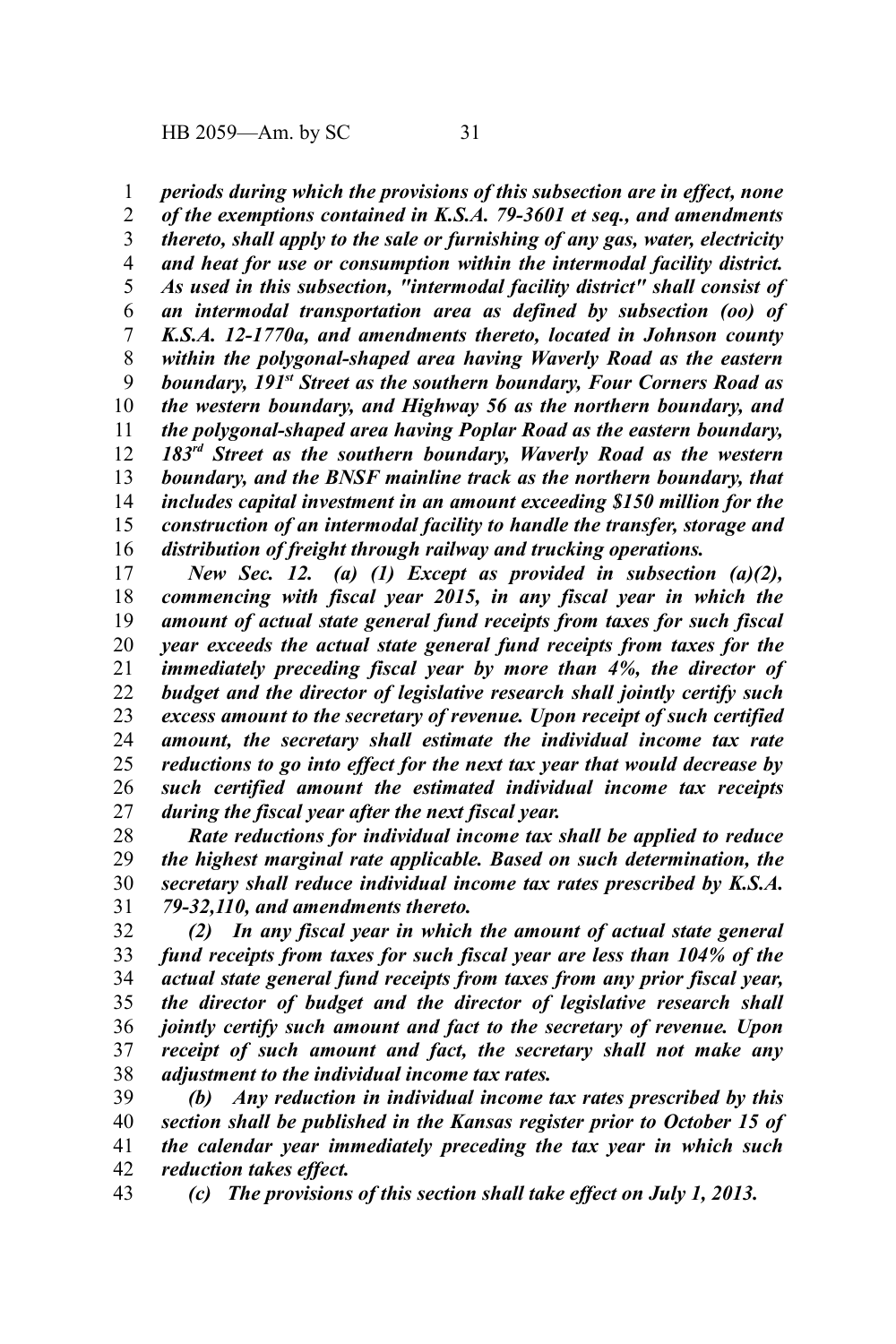*periods during which the provisions of this subsection are in effect, none* 1

*of the exemptions contained in K.S.A. 79-3601 et seq., and amendments thereto, shall apply to the sale or furnishing of any gas, water, electricity and heat for use or consumption within the intermodal facility district. As used in this subsection, "intermodal facility district" shall consist of an intermodal transportation area as defined by subsection (oo) of K.S.A. 12-1770a, and amendments thereto, located in Johnson county within the polygonal-shaped area having Waverly Road as the eastern boundary, 191st Street as the southern boundary, Four Corners Road as the western boundary, and Highway 56 as the northern boundary, and the polygonal-shaped area having Poplar Road as the eastern boundary, 183rd Street as the southern boundary, Waverly Road as the western boundary, and the BNSF mainline track as the northern boundary, that includes capital investment in an amount exceeding \$150 million for the construction of an intermodal facility to handle the transfer, storage and distribution of freight through railway and trucking operations.* 2 3 4 5 6 7 8 9 10 11 12 13 14 15 16

*New Sec. 12. (a) (1) Except as provided in subsection (a)(2), commencing with fiscal year 2015, in any fiscal year in which the amount of actual state general fund receipts from taxes for such fiscal year exceeds the actual state general fund receipts from taxes for the immediately preceding fiscal year by more than 4%, the director of budget and the director of legislative research shall jointly certify such excess amount to the secretary of revenue. Upon receipt of such certified amount, the secretary shall estimate the individual income tax rate reductions to go into effect for the next tax year that would decrease by such certified amount the estimated individual income tax receipts during the fiscal year after the next fiscal year.*  17 18 19 20 21 22 23 24 25 26 27

*Rate reductions for individual income tax shall be applied to reduce the highest marginal rate applicable. Based on such determination, the secretary shall reduce individual income tax rates prescribed by K.S.A. 79-32,110, and amendments thereto.* 28 29 30 31

*(2) In any fiscal year in which the amount of actual state general fund receipts from taxes for such fiscal year are less than 104% of the actual state general fund receipts from taxes from any prior fiscal year, the director of budget and the director of legislative research shall jointly certify such amount and fact to the secretary of revenue. Upon receipt of such amount and fact, the secretary shall not make any adjustment to the individual income tax rates.*  32 33 34 35 36 37 38

*(b) Any reduction in individual income tax rates prescribed by this section shall be published in the Kansas register prior to October 15 of the calendar year immediately preceding the tax year in which such reduction takes effect.* 39 40 41 42

*(c) The provisions of this section shall take effect on July 1, 2013.* 43